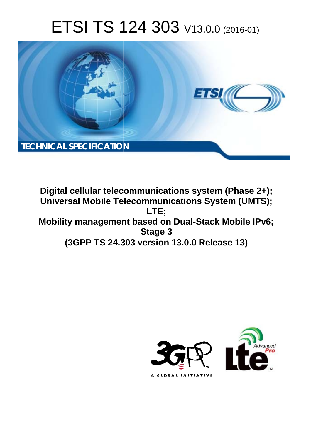# ETSI TS 124 303 V13.0.0 (2016-01)



**Digital cellular telecommunications system (Phase 2+); Universal Mobile Tel elecommunications System ( (UMTS); Mobility management based on Dual-Stack Mobile IPv6; (3GPP TS 24.3 .303 version 13.0.0 Release 13 13) LTE; Stage 3** 

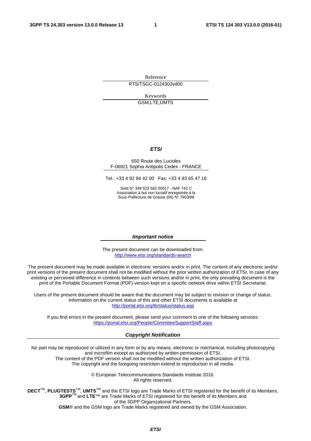Reference RTS/TSGC-0124303vd00

> Keywords GSM,LTE,UMTS

#### *ETSI*

#### 650 Route des Lucioles F-06921 Sophia Antipolis Cedex - FRANCE

Tel.: +33 4 92 94 42 00 Fax: +33 4 93 65 47 16

Siret N° 348 623 562 00017 - NAF 742 C Association à but non lucratif enregistrée à la Sous-Préfecture de Grasse (06) N° 7803/88

#### *Important notice*

The present document can be downloaded from: <http://www.etsi.org/standards-search>

The present document may be made available in electronic versions and/or in print. The content of any electronic and/or print versions of the present document shall not be modified without the prior written authorization of ETSI. In case of any existing or perceived difference in contents between such versions and/or in print, the only prevailing document is the print of the Portable Document Format (PDF) version kept on a specific network drive within ETSI Secretariat.

Users of the present document should be aware that the document may be subject to revision or change of status. Information on the current status of this and other ETSI documents is available at <http://portal.etsi.org/tb/status/status.asp>

If you find errors in the present document, please send your comment to one of the following services: <https://portal.etsi.org/People/CommiteeSupportStaff.aspx>

#### *Copyright Notification*

No part may be reproduced or utilized in any form or by any means, electronic or mechanical, including photocopying and microfilm except as authorized by written permission of ETSI.

The content of the PDF version shall not be modified without the written authorization of ETSI. The copyright and the foregoing restriction extend to reproduction in all media.

> © European Telecommunications Standards Institute 2016. All rights reserved.

**DECT**TM, **PLUGTESTS**TM, **UMTS**TM and the ETSI logo are Trade Marks of ETSI registered for the benefit of its Members. **3GPP**TM and **LTE**™ are Trade Marks of ETSI registered for the benefit of its Members and of the 3GPP Organizational Partners.

**GSM**® and the GSM logo are Trade Marks registered and owned by the GSM Association.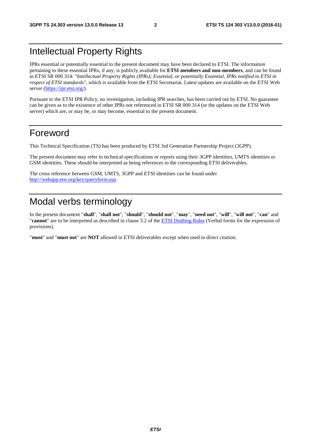## Intellectual Property Rights

IPRs essential or potentially essential to the present document may have been declared to ETSI. The information pertaining to these essential IPRs, if any, is publicly available for **ETSI members and non-members**, and can be found in ETSI SR 000 314: *"Intellectual Property Rights (IPRs); Essential, or potentially Essential, IPRs notified to ETSI in respect of ETSI standards"*, which is available from the ETSI Secretariat. Latest updates are available on the ETSI Web server [\(https://ipr.etsi.org/](https://ipr.etsi.org/)).

Pursuant to the ETSI IPR Policy, no investigation, including IPR searches, has been carried out by ETSI. No guarantee can be given as to the existence of other IPRs not referenced in ETSI SR 000 314 (or the updates on the ETSI Web server) which are, or may be, or may become, essential to the present document.

### Foreword

This Technical Specification (TS) has been produced by ETSI 3rd Generation Partnership Project (3GPP).

The present document may refer to technical specifications or reports using their 3GPP identities, UMTS identities or GSM identities. These should be interpreted as being references to the corresponding ETSI deliverables.

The cross reference between GSM, UMTS, 3GPP and ETSI identities can be found under <http://webapp.etsi.org/key/queryform.asp>.

## Modal verbs terminology

In the present document "**shall**", "**shall not**", "**should**", "**should not**", "**may**", "**need not**", "**will**", "**will not**", "**can**" and "**cannot**" are to be interpreted as described in clause 3.2 of the [ETSI Drafting Rules](http://portal.etsi.org/Help/editHelp!/Howtostart/ETSIDraftingRules.aspx) (Verbal forms for the expression of provisions).

"**must**" and "**must not**" are **NOT** allowed in ETSI deliverables except when used in direct citation.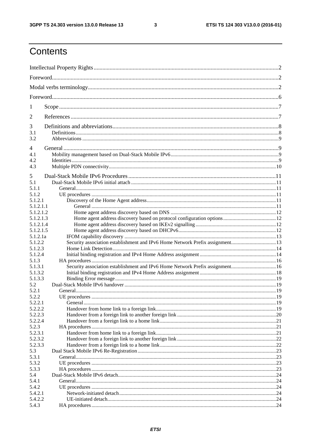$\mathbf{3}$ 

## Contents

| 1                |                                                                               |  |
|------------------|-------------------------------------------------------------------------------|--|
| 2                |                                                                               |  |
| 3                |                                                                               |  |
| 3.1<br>3.2       |                                                                               |  |
| 4                |                                                                               |  |
| 4.1              |                                                                               |  |
| 4.2<br>4.3       |                                                                               |  |
|                  |                                                                               |  |
| 5<br>5.1         |                                                                               |  |
| 5.1.1            |                                                                               |  |
| 5.1.2            |                                                                               |  |
| 5.1.2.1          |                                                                               |  |
| 5.1.2.1.1        |                                                                               |  |
| 5.1.2.1.2        |                                                                               |  |
| 5.1.2.1.3        |                                                                               |  |
| 5.1.2.1.4        |                                                                               |  |
| 5.1.2.1.5        |                                                                               |  |
| 5.1.2.1a         |                                                                               |  |
| 5.1.2.2          | Security association establishment and IPv6 Home Network Prefix assignment13  |  |
| 5.1.2.3          |                                                                               |  |
| 5.1.2.4<br>5.1.3 |                                                                               |  |
| 5.1.3.1          | Security association establishment and IPv6 Home Network Prefix assignment 16 |  |
| 5.1.3.2          |                                                                               |  |
| 5.1.3.3          |                                                                               |  |
| 5.2              |                                                                               |  |
| 5.2.1            |                                                                               |  |
| 5.2.2            |                                                                               |  |
| 5.2.2.1          |                                                                               |  |
| 5.2.2.2          |                                                                               |  |
| 5.2.2.3          |                                                                               |  |
| 5.2.2.4          |                                                                               |  |
| 5.2.3            |                                                                               |  |
| 5.2.3.1          |                                                                               |  |
| 5.2.3.2          |                                                                               |  |
| 5.2.3.3          |                                                                               |  |
| 5.3              |                                                                               |  |
| 5.3.1            |                                                                               |  |
| 5.3.2            |                                                                               |  |
| 5.3.3            |                                                                               |  |
| 5.4              |                                                                               |  |
| 5.4.1<br>5.4.2   |                                                                               |  |
| 5.4.2.1          |                                                                               |  |
| 5.4.2.2          |                                                                               |  |
| 5.4.3            |                                                                               |  |
|                  |                                                                               |  |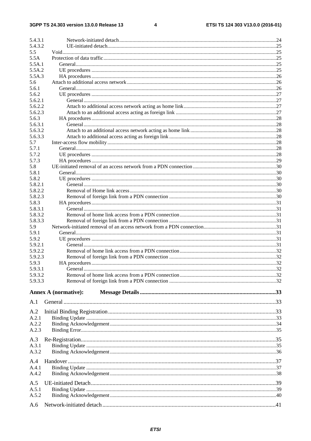$\overline{\mathbf{4}}$ 

| 5.4.3.1            |                      |  |
|--------------------|----------------------|--|
| 5.4.3.2            |                      |  |
| 5.5<br>5.5A        |                      |  |
| 5.5A.1             |                      |  |
| 5.5A.2             |                      |  |
| 5.5A.3             |                      |  |
| 5.6                |                      |  |
| 5.6.1              |                      |  |
| 5.6.2              |                      |  |
| 5.6.2.1            |                      |  |
| 5.6.2.2            |                      |  |
| 5.6.2.3            |                      |  |
| 5.6.3              |                      |  |
| 5.6.3.1            |                      |  |
| 5.6.3.2            |                      |  |
| 5.6.3.3            |                      |  |
| 5.7                |                      |  |
| 5.7.1              |                      |  |
| 5.7.2              |                      |  |
| 5.7.3              |                      |  |
| 5.8                |                      |  |
| 5.8.1              |                      |  |
| 5.8.2              |                      |  |
| 5.8.2.1            |                      |  |
| 5.8.2.2<br>5.8.2.3 |                      |  |
| 5.8.3              |                      |  |
| 5.8.3.1            |                      |  |
| 5.8.3.2            |                      |  |
| 5.8.3.3            |                      |  |
| 5.9                |                      |  |
| 5.9.1              |                      |  |
| 5.9.2              |                      |  |
| 5.9.2.1            |                      |  |
| 5.9.2.2            |                      |  |
| 5.9.2.3            |                      |  |
| 5.9.3              |                      |  |
| 5.9.3.1            | General              |  |
| 5.9.3.2            |                      |  |
| 5.9.3.3            |                      |  |
|                    |                      |  |
|                    | Annex A (normative): |  |
| A.1                |                      |  |
|                    |                      |  |
| A.2                |                      |  |
| A.2.1<br>A.2.2     |                      |  |
| A.2.3              |                      |  |
|                    |                      |  |
| A.3                |                      |  |
| A.3.1              |                      |  |
| A.3.2              |                      |  |
| A.4                |                      |  |
| A.4.1              |                      |  |
| A.4.2              |                      |  |
|                    |                      |  |
| A.5                |                      |  |
| A.5.1              |                      |  |
| A.5.2              |                      |  |
| A.6                |                      |  |
|                    |                      |  |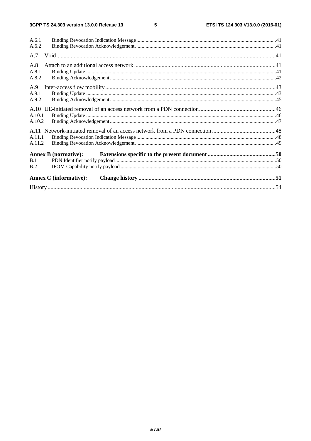$5\phantom{a}$ 

| <b>Annex C</b> (informative): |  |
|-------------------------------|--|
| B.2                           |  |
| B.1                           |  |
| <b>Annex B</b> (normative):   |  |
| A.11.2                        |  |
| A.11.1                        |  |
|                               |  |
| A.10.2                        |  |
| A.10.1                        |  |
|                               |  |
| A.9.2                         |  |
| A.9.1                         |  |
| A.9                           |  |
| A.8.2                         |  |
| A.8.1                         |  |
| A.8                           |  |
| A.7                           |  |
| A.6.2                         |  |
| A.6.1                         |  |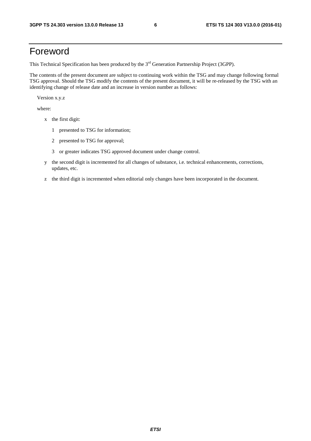## Foreword

This Technical Specification has been produced by the 3<sup>rd</sup> Generation Partnership Project (3GPP).

The contents of the present document are subject to continuing work within the TSG and may change following formal TSG approval. Should the TSG modify the contents of the present document, it will be re-released by the TSG with an identifying change of release date and an increase in version number as follows:

Version x.y.z

where:

- x the first digit:
	- 1 presented to TSG for information;
	- 2 presented to TSG for approval;
	- 3 or greater indicates TSG approved document under change control.
- y the second digit is incremented for all changes of substance, i.e. technical enhancements, corrections, updates, etc.
- z the third digit is incremented when editorial only changes have been incorporated in the document.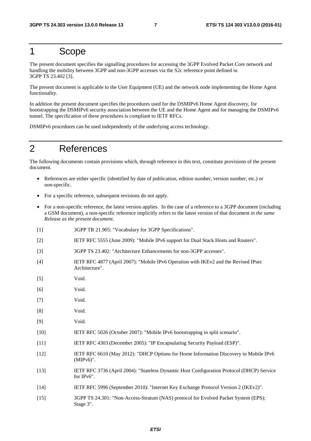### 1 Scope

The present document specifies the signalling procedures for accessing the 3GPP Evolved Packet Core network and handling the mobility between 3GPP and non-3GPP accesses via the S2c reference point defined in 3GPP TS 23.402 [3].

The present document is applicable to the User Equipment (UE) and the network node implementing the Home Agent functionality.

In addition the present document specifies the procedures used for the DSMIPv6 Home Agent discovery, for bootstrapping the DSMIPv6 security association between the UE and the Home Agent and for managing the DSMIPv6 tunnel. The specification of these procedures is compliant to IETF RFCs.

DSMIPv6 procedures can be used independently of the underlying access technology.

## 2 References

The following documents contain provisions which, through reference in this text, constitute provisions of the present document.

- References are either specific (identified by date of publication, edition number, version number, etc.) or non-specific.
- For a specific reference, subsequent revisions do not apply.
- For a non-specific reference, the latest version applies. In the case of a reference to a 3GPP document (including a GSM document), a non-specific reference implicitly refers to the latest version of that document *in the same Release as the present document*.
- [1] 3GPP TR 21.905: "Vocabulary for 3GPP Specifications".
- [2] IETF RFC 5555 (June 2009): "Mobile IPv6 support for Dual Stack Hosts and Routers".
- [3] 3GPP TS 23.402: "Architecture Enhancements for non-3GPP accesses".
- [4] IETF RFC 4877 (April 2007): "Mobile IPv6 Operation with IKEv2 and the Revised IPsec Architecture".
- [5] Void.
- [6] Void.
- [7] Void.
- [8] Void.
- [9] Void.
- [10] IETF RFC 5026 (October 2007): "Mobile IPv6 bootstrapping in split scenario".
- [11] IETF RFC 4303 (December 2005): "IP Encapsulating Security Payload (ESP)".
- [12] IETF RFC 6610 (May 2012): "DHCP Options for Home Information Discovery in Mobile IPv6 (MIPv6)".
- [13] IETF RFC 3736 (April 2004): "Stateless Dynamic Host Configuration Protocol (DHCP) Service for IPv6".
- [14] IETF RFC 5996 (September 2010): "Internet Key Exchange Protocol Version 2 (IKEv2)".
- [15] 3GPP TS 24.301: "Non-Access-Stratum (NAS) protocol for Evolved Packet System (EPS); Stage 3".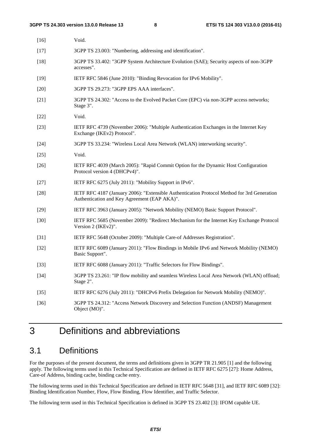| $[16]$ | Void.                                                                                                                                       |
|--------|---------------------------------------------------------------------------------------------------------------------------------------------|
| $[17]$ | 3GPP TS 23.003: "Numbering, addressing and identification".                                                                                 |
| $[18]$ | 3GPP TS 33.402: "3GPP System Architecture Evolution (SAE); Security aspects of non-3GPP<br>accesses".                                       |
| $[19]$ | IETF RFC 5846 (June 2010): "Binding Revocation for IPv6 Mobility".                                                                          |
| $[20]$ | 3GPP TS 29.273: "3GPP EPS AAA interfaces".                                                                                                  |
| $[21]$ | 3GPP TS 24.302: "Access to the Evolved Packet Core (EPC) via non-3GPP access networks;<br>Stage 3".                                         |
| $[22]$ | Void.                                                                                                                                       |
| $[23]$ | IETF RFC 4739 (November 2006): "Multiple Authentication Exchanges in the Internet Key<br>Exchange (IKEv2) Protocol".                        |
| $[24]$ | 3GPP TS 33.234: "Wireless Local Area Network (WLAN) interworking security".                                                                 |
| $[25]$ | Void.                                                                                                                                       |
| $[26]$ | IETF RFC 4039 (March 2005): "Rapid Commit Option for the Dynamic Host Configuration<br>Protocol version 4 (DHCPv4)".                        |
| $[27]$ | IETF RFC 6275 (July 2011): "Mobility Support in IPv6".                                                                                      |
| $[28]$ | IETF RFC 4187 (January 2006): "Extensible Authentication Protocol Method for 3rd Generation<br>Authentication and Key Agreement (EAP AKA)". |
| $[29]$ | IETF RFC 3963 (January 2005): "Network Mobility (NEMO) Basic Support Protocol".                                                             |
| $[30]$ | IETF RFC 5685 (November 2009): "Redirect Mechanism for the Internet Key Exchange Protocol<br>Version 2 (IKEv2)".                            |
| $[31]$ | IETF RFC 5648 (October 2009): "Multiple Care-of Addresses Registration".                                                                    |
| $[32]$ | IETF RFC 6089 (January 2011): "Flow Bindings in Mobile IPv6 and Network Mobility (NEMO)<br>Basic Support".                                  |
| $[33]$ | IETF RFC 6088 (January 2011): "Traffic Selectors for Flow Bindings".                                                                        |
| $[34]$ | 3GPP TS 23.261: "IP flow mobility and seamless Wireless Local Area Network (WLAN) offload;<br>Stage 2".                                     |
| $[35]$ | IETF RFC 6276 (July 2011): "DHCPv6 Prefix Delegation for Network Mobility (NEMO)".                                                          |
| $[36]$ | 3GPP TS 24.312: "Access Network Discovery and Selection Function (ANDSF) Management<br>Object (MO)".                                        |

## 3 Definitions and abbreviations

### 3.1 Definitions

For the purposes of the present document, the terms and definitions given in 3GPP TR 21.905 [1] and the following apply. The following terms used in this Technical Specification are defined in IETF RFC 6275 [27]: Home Address, Care-of Address, binding cache, binding cache entry.

The following terms used in this Technical Specification are defined in IETF RFC 5648 [31], and IETF RFC 6089 [32]: Binding Identification Number, Flow, Flow Binding, Flow Identifier, and Traffic Selector.

The following term used in this Technical Specification is defined in 3GPP TS 23.402 [3]: IFOM capable UE.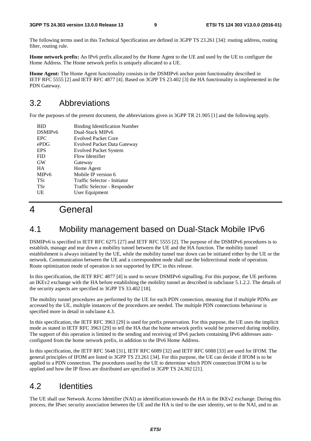The following terms used in this Technical Specification are defined in 3GPP TS 23.261 [34]: routing address, routing filter, routing rule.

**Home network prefix:** An IPv6 prefix allocated by the Home Agent to the UE and used by the UE to configure the Home Address. The Home network prefix is uniquely allocated to a UE.

**Home Agent:** The Home Agent functionality consists in the DSMIPv6 anchor point functionality described in IETF RFC 5555 [2] and IETF RFC 4877 [4]. Based on 3GPP TS 23.402 [3] the HA functionality is implemented in the PDN Gateway.

### 3.2 Abbreviations

For the purposes of the present document, the abbreviations given in 3GPP TR 21.905 [1] and the following apply.

| <b>BID</b>          | <b>Binding Identification Number</b> |
|---------------------|--------------------------------------|
| DSMIP <sub>v6</sub> | Dual-Stack MIPv6                     |
| <b>EPC</b>          | <b>Evolved Packet Core</b>           |
| ePDG                | <b>Evolved Packet Data Gateway</b>   |
| <b>EPS</b>          | <b>Evolved Packet System</b>         |
| <b>FID</b>          | Flow Identifier                      |
| <b>GW</b>           | Gateway                              |
| <b>HA</b>           | Home Agent                           |
| MIP <sub>v6</sub>   | Mobile IP version 6                  |
| TSi                 | Traffic Selector - Initiator         |
| <b>TSr</b>          | Traffic Selector - Responder         |
| UE                  | User Equipment                       |
|                     |                                      |

## 4 General

### 4.1 Mobility management based on Dual-Stack Mobile IPv6

DSMIPv6 is specified in IETF RFC 6275 [27] and IETF RFC 5555 [2]. The purpose of the DSMIPv6 procedures is to establish, manage and tear down a mobility tunnel between the UE and the HA function. The mobility tunnel establishment is always initiated by the UE, while the mobility tunnel tear down can be initiated either by the UE or the network. Communication between the UE and a correspondent node shall use the bidirectional mode of operation. Route optimization mode of operation is not supported by EPC in this release.

In this specification, the IETF RFC 4877 [4] is used to secure DSMIPv6 signalling. For this purpose, the UE performs an IKEv2 exchange with the HA before establishing the mobility tunnel as described in subclause 5.1.2.2. The details of the security aspects are specified in 3GPP TS 33.402 [18].

The mobility tunnel procedures are performed by the UE for each PDN connection, meaning that if multiple PDNs are accessed by the UE, multiple instances of the procedures are needed. The multiple PDN connections behaviour is specified more in detail in subclause 4.3.

In this specification, the IETF RFC 3963 [29] is used for prefix preservation. For this purpose, the UE uses the implicit mode as stated in IETF RFC 3963 [29] to tell the HA that the home network prefix would be preserved during mobility. The support of this operation is limited to the sending and receiving of IPv6 packets containing IPv6 addresses autoconfigured from the home network prefix, in addition to the IPv6 Home Address.

In this specification, the IETF RFC 5648 [31], IETF RFC 6089 [32] and IETF RFC 6088 [33] are used for IFOM. The general principles of IFOM are listed in 3GPP TS 23.261 [34]. For this purpose, the UE can decide if IFOM is to be applied to a PDN connection. The procedures used by the UE to determine which PDN connection IFOM is to be applied and how the IP flows are distributed are specified in 3GPP TS 24.302 [21].

### 4.2 Identities

The UE shall use Network Access Identifier (NAI) as identification towards the HA in the IKEv2 exchange. During this process, the IPsec security association between the UE and the HA is tied to the user identity, set to the NAI, and to an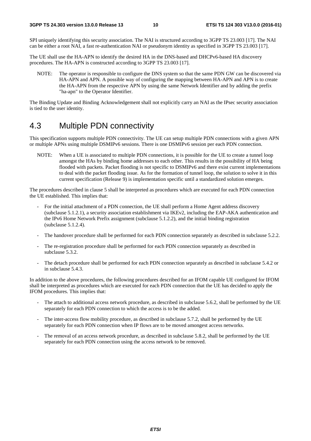SPI uniquely identifying this security association. The NAI is structured according to 3GPP TS 23.003 [17]. The NAI can be either a root NAI, a fast re-authentication NAI or pseudonym identity as specified in 3GPP TS 23.003 [17].

The UE shall use the HA-APN to identify the desired HA in the DNS-based and DHCPv6-based HA discovery procedures. The HA-APN is constructed according to 3GPP TS 23.003 [17].

NOTE: The operator is responsible to configure the DNS system so that the same PDN GW can be discovered via HA-APN and APN. A possible way of configuring the mapping between HA-APN and APN is to create the HA-APN from the respective APN by using the same Network Identifier and by adding the prefix "ha-apn" to the Operator Identifier.

The Binding Update and Binding Acknowledgement shall not explicitly carry an NAI as the IPsec security association is tied to the user identity.

### 4.3 Multiple PDN connectivity

This specification supports multiple PDN connectivity. The UE can setup multiple PDN connections with a given APN or multiple APNs using multiple DSMIPv6 sessions. There is one DSMIPv6 session per each PDN connection.

NOTE: When a UE is associated to multiple PDN connections, it is possible for the UE to create a tunnel loop amongst the HAs by binding home addresses to each other. This results in the possibility of HA being flooded with packets. Packet flooding is not specific to DSMIPv6 and there exist current implementations to deal with the packet flooding issue. As for the formation of tunnel loop, the solution to solve it in this current specification (Release 9) is implementation specific until a standardized solution emerges.

The procedures described in clause 5 shall be interpreted as procedures which are executed for each PDN connection the UE established. This implies that:

- For the initial attachment of a PDN connection, the UE shall perform a Home Agent address discovery (subclause 5.1.2.1), a security association establishment via IKEv2, including the EAP-AKA authentication and the IPv6 Home Network Prefix assignment (subclause 5.1.2.2), and the initial binding registration (subclause 5.1.2.4).
- The handover procedure shall be performed for each PDN connection separately as described in subclause 5.2.2.
- The re-registration procedure shall be performed for each PDN connection separately as described in subclause 5.3.2.
- The detach procedure shall be performed for each PDN connection separately as described in subclause 5.4.2 or in subclause 5.4.3.

In addition to the above procedures, the following procedures described for an IFOM capable UE configured for IFOM shall be interpreted as procedures which are executed for each PDN connection that the UE has decided to apply the IFOM procedures. This implies that:

- The attach to additional access network procedure, as described in subclause 5.6.2, shall be performed by the UE separately for each PDN connection to which the access is to be the added.
- The inter-access flow mobility procedure, as described in subclause 5.7.2, shall be performed by the UE separately for each PDN connection when IP flows are to be moved amongest access networks.
- The removal of an access network procedure, as described in subclause 5.8.2, shall be performed by the UE separately for each PDN connection using the access network to be removed.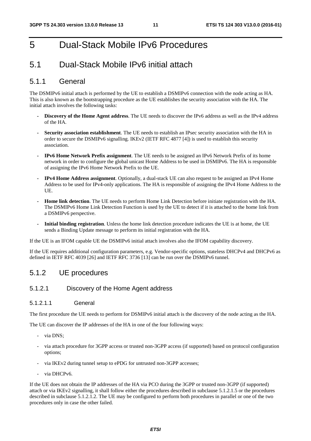## 5 Dual-Stack Mobile IPv6 Procedures

### 5.1 Dual-Stack Mobile IPv6 initial attach

#### 5.1.1 General

The DSMIPv6 initial attach is performed by the UE to establish a DSMIPv6 connection with the node acting as HA. This is also known as the bootstrapping procedure as the UE establishes the security association with the HA. The initial attach involves the following tasks:

- **Discovery of the Home Agent address**. The UE needs to discover the IPv6 address as well as the IPv4 address of the HA.
- **Security association establishment**. The UE needs to establish an IPsec security association with the HA in order to secure the DSMIPv6 signalling. IKEv2 (IETF RFC 4877 [4]) is used to establish this security association.
- **IPv6 Home Network Prefix assignment**. The UE needs to be assigned an IPv6 Network Prefix of its home network in order to configure the global unicast Home Address to be used in DSMIPv6. The HA is responsible of assigning the IPv6 Home Network Prefix to the UE.
- **IPv4 Home Address assignment**. Optionally, a dual-stack UE can also request to be assigned an IPv4 Home Address to be used for IPv4-only applications. The HA is responsible of assigning the IPv4 Home Address to the UE.
- **Home link detection**. The UE needs to perform Home Link Detection before initiate registration with the HA. The DSMIPv6 Home Link Detection Function is used by the UE to detect if it is attached to the home link from a DSMIPv6 perspective.
- **Initial binding registration**. Unless the home link detection procedure indicates the UE is at home, the UE sends a Binding Update message to perform its initial registration with the HA.

If the UE is an IFOM capable UE the DSMIPv6 initial attach involves also the IFOM capability discovery.

If the UE requires additional configuration parameters, e.g. Vendor-specific options, stateless DHCPv4 and DHCPv6 as defined in IETF RFC 4039 [26] and IETF RFC 3736 [13] can be run over the DSMIPv6 tunnel.

#### 5.1.2 UE procedures

#### 5.1.2.1 Discovery of the Home Agent address

#### 5.1.2.1.1 General

The first procedure the UE needs to perform for DSMIPv6 initial attach is the discovery of the node acting as the HA.

The UE can discover the IP addresses of the HA in one of the four following ways:

- via DNS;
- via attach procedure for 3GPP access or trusted non-3GPP access (if supported) based on protocol configuration options;
- via IKEv2 during tunnel setup to ePDG for untrusted non-3GPP accesses;
- via DHCPv6.

If the UE does not obtain the IP addresses of the HA via PCO during the 3GPP or trusted non-3GPP (if supported) attach or via IKEv2 signalling, it shall follow either the procedures described in subclause 5.1.2.1.5 or the procedures described in subclause 5.1.2.1.2. The UE may be configured to perform both procedures in parallel or one of the two procedures only in case the other failed.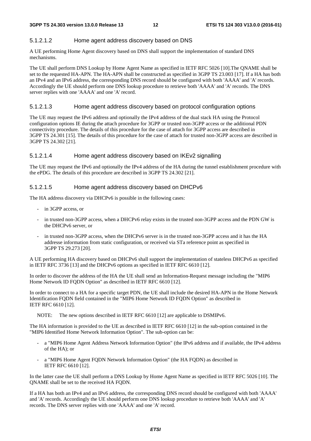#### 5.1.2.1.2 Home agent address discovery based on DNS

A UE performing Home Agent discovery based on DNS shall support the implementation of standard DNS mechanisms.

The UE shall perform DNS Lookup by Home Agent Name as specified in IETF RFC 5026 [10].The QNAME shall be set to the requested HA-APN. The HA-APN shall be constructed as specified in 3GPP TS 23.003 [17]. If a HA has both an IPv4 and an IPv6 address, the corresponding DNS record should be configured with both 'AAAA' and 'A' records. Accordingly the UE should perform one DNS lookup procedure to retrieve both 'AAAA' and 'A' records. The DNS server replies with one 'AAAA' and one 'A' record.

#### 5.1.2.1.3 Home agent address discovery based on protocol configuration options

The UE may request the IPv6 address and optionally the IPv4 address of the dual stack HA using the Protocol configuration options IE during the attach procedure for 3GPP or trusted non-3GPP access or the additional PDN connectivity procedure. The details of this procedure for the case of attach for 3GPP access are described in 3GPP TS 24.301 [15]. The details of this procedure for the case of attach for trusted non-3GPP access are described in 3GPP TS 24.302 [21].

#### 5.1.2.1.4 Home agent address discovery based on IKEv2 signalling

The UE may request the IPv6 and optionally the IPv4 address of the HA during the tunnel establishment procedure with the ePDG. The details of this procedure are described in 3GPP TS 24.302 [21].

#### 5.1.2.1.5 Home agent address discovery based on DHCPv6

The HA address discovery via DHCPv6 is possible in the following cases:

- in 3GPP access, or
- in trusted non-3GPP access, when a DHCPv6 relay exists in the trusted non-3GPP access and the PDN GW is the DHCPv6 server, or
- in trusted non-3GPP access, when the DHCPv6 server is in the trusted non-3GPP access and it has the HA addresse information from static configuration, or received via STa reference point as specified in 3GPP TS 29.273 [20].

A UE performing HA discovery based on DHCPv6 shall support the implementation of stateless DHCPv6 as specified in IETF RFC 3736 [13] and the DHCPv6 options as specified in IETF RFC 6610 [12].

In order to discover the address of the HA the UE shall send an Information-Request message including the "MIP6 Home Network ID FQDN Option" as described in IETF RFC 6610 [12].

In order to connect to a HA for a specific target PDN, the UE shall include the desired HA-APN in the Home Network Identification FQDN field contained in the "MIP6 Home Network ID FQDN Option" as described in IETF RFC 6610 [12].

NOTE: The new options described in IETF RFC 6610 [12] are applicable to DSMIPv6.

The HA information is provided to the UE as described in IETF RFC 6610 [12] in the sub-option contained in the "MIP6 Identified Home Network Information Option". The sub-option can be:

- a "MIP6 Home Agent Address Network Information Option" (the IPv6 address and if available, the IPv4 address of the HA); or
- a "MIP6 Home Agent FQDN Network Information Option" (the HA FQDN) as described in IETF RFC 6610 [12].

In the latter case the UE shall perform a DNS Lookup by Home Agent Name as specified in IETF RFC 5026 [10]. The QNAME shall be set to the received HA FQDN.

If a HA has both an IPv4 and an IPv6 address, the corresponding DNS record should be configured with both 'AAAA' and 'A' records. Accordingly the UE should perform one DNS lookup procedure to retrieve both 'AAAA' and 'A' records. The DNS server replies with one 'AAAA' and one 'A' record.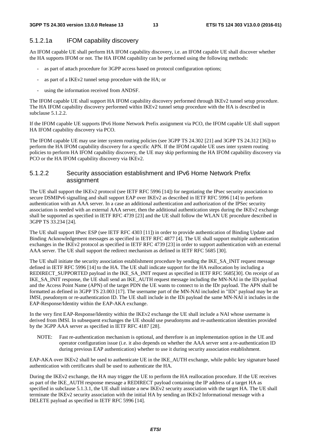#### 5.1.2.1a IFOM capability discovery

An IFOM capable UE shall perform HA IFOM capability discovery, i.e. an IFOM capable UE shall discover whether the HA supports IFOM or not. The HA IFOM capability can be performed using the following methods:

- as part of attach procedure for 3GPP access based on protocol configuration options;
- as part of a IKEv2 tunnel setup procedure with the HA; or
- using the information received from ANDSF.

The IFOM capable UE shall support HA IFOM capability discovery performed through IKEv2 tunnel setup procedure. The HA IFOM capability discovery performed within IKEv2 tunnel setup procedure with the HA is described in subclause 5.1.2.2.

If the IFOM capable UE supports IPv6 Home Network Prefix assignment via PCO, the IFOM capable UE shall support HA IFOM capability discovery via PCO.

The IFOM capable UE may use inter system routing policies (see 3GPP TS 24.302 [21] and 3GPP TS 24.312 [36]) to perform the HA IFOM capability discovery for a specific APN. If the IFOM capable UE uses inter system routing policies to perform HA IFOM capability discovery, the UE may skip performing the HA IFOM capability discovery via PCO or the HA IFOM capability discovery via IKEv2.

#### 5.1.2.2 Security association establishment and IPv6 Home Network Prefix assignment

The UE shall support the IKEv2 protocol (see IETF RFC 5996 [14]) for negotiating the IPsec security association to secure DSMIPv6 signalling and shall support EAP over IKEv2 as described in IETF RFC 5996 [14] to perform authentication with an AAA server. In a case an additional authentication and authorization of the IPSec security association is needed with an external AAA server, then the additional authentication steps during the IKEv2 exchange shall be supported as specified in IETF RFC 4739 [23] and the UE shall follow the WLAN UE procedure described in 3GPP TS 33.234 [24].

The UE shall support IPsec ESP (see IETF RFC 4303 [11]) in order to provide authentication of Binding Update and Binding Acknowledgement messages as specified in IETF RFC 4877 [4]. The UE shall support multiple authentication exchanges in the IKEv2 protocol as specified in IETF RFC 4739 [23] in order to support authentication with an external AAA server. The UE shall support the redirect mechanism as defined in IETF RFC 5685 [30].

The UE shall initiate the security association establishment procedure by sending the IKE\_SA\_INIT request message defined in IETF RFC 5996 [14] to the HA. The UE shall indicate support for the HA reallocation by including a REDIRECT\_SUPPORTED payload in the IKE\_SA\_INIT request as specified in IETF RFC 5685[30]. On receipt of an IKE\_SA\_INIT response, the UE shall send an IKE\_AUTH request message including the MN-NAI in the IDi payload and the Access Point Name (APN) of the target PDN the UE wants to connect to in the IDr payload. The APN shall be formatted as defined in 3GPP TS 23.003 [17]. The username part of the MN-NAI included in "IDi" payload may be an IMSI, pseudonym or re-authentication ID. The UE shall include in the IDi payload the same MN-NAI it includes in the EAP-Response/Identity within the EAP-AKA exchange.

In the very first EAP-Response/Identity within the IKEv2 exchange the UE shall include a NAI whose username is derived from IMSI. In subsequent exchanges the UE should use pseudonyms and re-authentication identities provided by the 3GPP AAA server as specified in IETF RFC 4187 [28].

NOTE: Fast re-authentication mechanism is optional, and therefore is an implementation option in the UE and operator configuration issue (i.e. it also depends on whether the AAA server sent a re-authentication ID during previous EAP authentication) whether to use it during security association establishment.

EAP-AKA over IKEv2 shall be used to authenticate UE in the IKE\_AUTH exchange, while public key signature based authentication with certificates shall be used to authenticate the HA.

During the IKEv2 exchange, the HA may trigger the UE to perform the HA reallocation procedure. If the UE receives as part of the IKE\_AUTH response message a REDIRECT payload containing the IP address of a target HA as specified in subclause 5.1.3.1, the UE shall initiate a new IKEv2 security association with the target HA. The UE shall terminate the IKEv2 security association with the initial HA by sending an IKEv2 Informational message with a DELETE payload as specified in IETF RFC 5996 [14].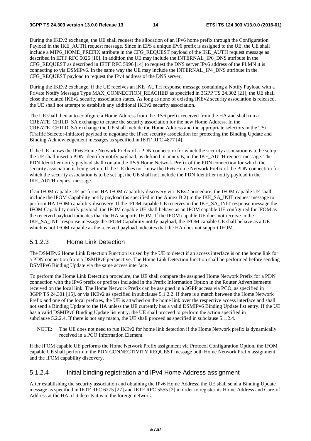During the IKEv2 exchange, the UE shall request the allocation of an IPv6 home prefix through the Configuration Payload in the IKE\_AUTH request message. Since in EPS a unique IPv6 prefix is assigned to the UE, the UE shall include a MIP6\_HOME\_PREFIX attribute in the CFG\_REQUEST payload of the IKE\_AUTH request message as described in IETF RFC 5026 [10]. In addition the UE may include the INTERNAL\_IP6\_DNS attribute in the CFG\_REQUEST as described in IETF RFC 5996 [14] to request the DNS server IPv6 address of the PLMN it is connecting to via DSMIPv6. In the same way the UE may include the INTERNAL\_IP4\_DNS attribute in the CFG\_REQUEST payload to request the IPv4 address of the DNS server.

During the IKEv2 exchange, if the UE receives an IKE\_AUTH response message containing a Notify Payload with a Private Notify Message Type MAX\_CONNECTION\_REACHED as specified in 3GPP TS 24.302 [21], the UE shall close the related IKEv2 security association states. As long as none of existing IKEv2 security association is released, the UE shall not attempt to establish any additional IKEv2 security association.

The UE shall then auto-configure a Home Address from the IPv6 prefix received from the HA and shall run a CREATE\_CHILD\_SA exchange to create the security association for the new Home Address. In the CREATE\_CHILD\_SA exchange the UE shall include the Home Address and the appropriate selectors in the TSi (Traffic Selector-initiator) payload to negotiate the IPsec security association for protecting the Binding Update and Binding Acknowledgement messages as specified in IETF RFC 4877 [4].

If the UE knows the IPv6 Home Network Prefix of a PDN connection for which the security association is to be setup, the UE shall insert a PDN Identifier notify payload, as defined in annex B, in the IKE\_AUTH request message. The PDN Identifier notify payload shall contain the IPv6 Home Network Prefix of the PDN connection for which the security association is being set up. If the UE does not know the IPv6 Home Network Prefix of the PDN connection for which the security association is to be set up, the UE shall not include the PDN Identifier notify payload in the IKE\_AUTH request message.

If an IFOM capable UE performs HA IFOM capability discovery via IKEv2 procedure, the IFOM capable UE shall include the IFOM Capability notify payload (as specified in the Annex B.2) in the IKE\_SA\_INIT request message to perform HA IFOM capability discovery. If the IFOM capable UE receives in the IKE\_SA\_INIT response message the IFOM Capability notify payload, the IFOM capable UE shall behave as an IFOM capable UE configured for IFOM as the received payload indicates that the HA supports IFOM. If the IFOM capable UE does not receive in the IKE\_SA\_INIT response message the IFOM Capability notify payload, the IFOM capable UE shall behave as a UE which is not IFOM capable as the received payload indicates that the HA does not support IFOM.

#### 5.1.2.3 Home Link Detection

The DSMIPv6 Home Link Detection Function is used by the UE to detect if an access interface is on the home link for a PDN connection from a DSMIPv6 perspective. The Home Link Detection function shall be performed before sending DSMIPv6 Binding Update via the same access interface.

To perform the Home Link Detection procedure, the UE shall compare the assigned Home Network Prefix for a PDN connection with the IPv6 prefix or prefixes included in the Prefix Information Option in the Router Advertisements received on the local link. The Home Network Prefix can be assigned in a 3GPP access via PCO, as specified in 3GPP TS 24.301 [15], or via IKEv2 as specified in subclause 5.1.2.2. If there is a match between the Home Network Prefix and one of the local prefixes, the UE is attached on the home link over the respective access interface and shall not send a Binding Update to the HA unless the UE currently has a valid DSMIPv6 Binding Update list entry. If the UE has a valid DSMIPv6 Binding Update list entry, the UE shall proceed to perform the action specified in subclause 5.2.2.4. If there is not any match, the UE shall proceed as specified in subclause 5.1.2.4.

NOTE: The UE does not need to run IKEv2 for home link detection if the Home Network prefix is dynamically received in a PCO Information Element.

If the IFOM capable UE performs the Home Network Prefix assignment via Protocol Configuration Option, the IFOM capable UE shall perform in the PDN CONNECTIVITY REQUEST message both Home Network Prefix assignment and the IFOM capability discovery.

#### 5.1.2.4 Initial binding registration and IPv4 Home Address assignment

After establishing the security association and obtaining the IPv6 Home Address, the UE shall send a Binding Update message as specified in IETF RFC 6275 [27] and IETF RFC 5555 [2] in order to register its Home Address and Care-of Address at the HA, if it detects it is in the foreign network.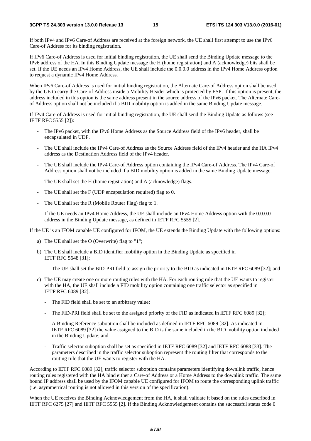If both IPv4 and IPv6 Care-of Address are received at the foreign network, the UE shall first attempt to use the IPv6 Care-of Address for its binding registration.

If IPv6 Care-of Address is used for initial binding registration, the UE shall send the Binding Update message to the IPv6 address of the HA. In this Binding Update message the H (home registration) and A (acknowledge) bits shall be set. If the UE needs an IPv4 Home Address, the UE shall include the 0.0.0.0 address in the IPv4 Home Address option to request a dynamic IPv4 Home Address.

When IPv6 Care-of Address is used for initial binding registration, the Alternate Care-of Address option shall be used by the UE to carry the Care-of Address inside a Mobility Header which is protected by ESP. If this option is present, the address included in this option is the same address present in the source address of the IPv6 packet. The Alternate Careof Address option shall not be included if a BID mobility option is added in the same Binding Update message.

If IPv4 Care-of Address is used for initial binding registration, the UE shall send the Binding Update as follows (see IETF RFC 5555 [2]):

- The IPv6 packet, with the IPv6 Home Address as the Source Address field of the IPv6 header, shall be encapsulated in UDP.
- The UE shall include the IPv4 Care-of Address as the Source Address field of the IPv4 header and the HA IPv4 address as the Destination Address field of the IPv4 header.
- The UE shall include the IPv4 Care-of Address option containing the IPv4 Care-of Address. The IPv4 Care-of Address option shall not be included if a BID mobility option is added in the same Binding Update message.
- The UE shall set the H (home registration) and A (acknowledge) flags.
- The UE shall set the F (UDP encapsulation required) flag to 0.
- The UE shall set the R (Mobile Router Flag) flag to 1.
- If the UE needs an IPv4 Home Address, the UE shall include an IPv4 Home Address option with the 0.0.0.0 address in the Binding Update message, as defined in IETF RFC 5555 [2].

If the UE is an IFOM capable UE configured for IFOM, the UE extends the Binding Update with the following options:

- a) The UE shall set the O (Overwrite) flag to "1";
- b) The UE shall include a BID identifier mobility option in the Binding Update as specified in IETF RFC 5648 [31];
	- The UE shall set the BID-PRI field to assign the priority to the BID as indicated in IETF RFC 6089 [32]; and
- c) The UE may create one or more routing rules with the HA. For each routing rule that the UE wants to register with the HA, the UE shall include a FID mobility option containing one traffic selector as specified in IETF RFC 6089 [32].
	- The FID field shall be set to an arbitrary value;
	- The FID-PRI field shall be set to the assigned priority of the FID as indicated in IETF RFC 6089 [32];
	- A Binding Reference suboption shall be included as defined in IETF RFC 6089 [32]. As indicated in IETF RFC 6089 [32] the value assigned to the BID is the same included in the BID mobility option included in the Binding Update; and
	- Traffic selector suboption shall be set as specified in IETF RFC 6089 [32] and IETF RFC 6088 [33]. The parameters described in the traffic selector suboption represent the routing filter that corresponds to the routing rule that the UE wants to register with the HA.

According to IETF RFC 6089 [32], traffic selector suboption contains parameters identifying downlink traffic, hence routing rules registered with the HA bind either a Care-of Address or a Home Address to the downlink traffic. The same bound IP address shall be used by the IFOM capable UE configured for IFOM to route the corresponding uplink traffic (i.e. asymmetrical routing is not allowed in this version of the specification).

When the UE receives the Binding Acknowledgement from the HA, it shall validate it based on the rules described in IETF RFC 6275 [27] and IETF RFC 5555 [2]. If the Binding Acknowledgement contains the successful status code 0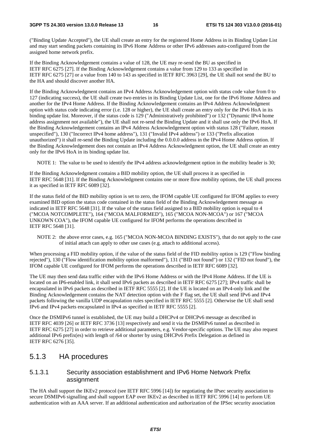("Binding Update Accepted"), the UE shall create an entry for the registered Home Address in its Binding Update List and may start sending packets containing its IPv6 Home Address or other IPv6 addresses auto-configured from the assigned home network prefix.

If the Binding Acknowledgement contains a value of 128, the UE may re-send the BU as specified in IETF RFC 6275 [27]. If the Binding Acknowledgement contains a value from 129 to 133 as specified in IETF RFC 6275 [27] or a value from 140 to 143 as specified in IETF RFC 3963 [29], the UE shall not send the BU to the HA and should discover another HA.

If the Binding Acknowledgment contains an IPv4 Address Acknowledgement option with status code value from 0 to 127 (indicating success), the UE shall create two entries in its Binding Update List, one for the IPv6 Home Address and another for the IPv4 Home Address. If the Binding Acknowledgement contains an IPv4 Address Acknowledgment option with status code indicating error (i.e. 128 or higher), the UE shall create an entry only for the IPv6 HoA in its binding update list. Moreover, if the status code is 129 ("Administratively prohibited") or 132 ("Dynamic IPv4 home address assignment not available"), the UE shall not re-send the Binding Update and it shall use only the IPv6 HoA. If the Binding Acknowledgement contains an IPv4 Address Acknowledgement option with status 128 ("Failure, reason unspecified"), 130 ("Incorrect IPv4 home address"), 131 ("Invalid IPv4 address") or 133 ("Prefix allocation unauthorized") it shall re-send the Binding Update including the 0.0.0.0 address in the IPv4 Home Address option. If the Binding Acknowledgement does not contain an IPv4 Address Acknowledgment option, the UE shall create an entry only for the IPv6 HoA in its binding update list.

NOTE 1: The value to be used to identify the IPv4 address acknowledgement option in the mobility header is 30;

If the Binding Acknowledgment contains a BID mobility option, the UE shall process it as specified in IETF RFC 5648 [31]. If the Binding Acknowledgment contains one or more flow mobility options, the UE shall process it as specified in IETF RFC 6089 [32].

If the status field of the BID mobility option is set to zero, the IFOM capable UE configured for IFOM applies to every examined BID option the status code contained in the status field of the Binding Acknowledgement message as indicated in IETF RFC 5648 [31]. If the value of the status field assigned to a BID mobility option is equal to 4 ("MCOA NOTCOMPLETE"), 164 ("MCOA MALFORMED"), 165 ("MCOA NON-MCOA") or 167 ("MCOA UNKOWN COA"), the IFOM capable UE configured for IFOM performs the operations described in IETF RFC 5648 [31].

NOTE 2: the above error cases, e.g. 165 ("MCOA NON-MCOA BINDING EXISTS"), that do not apply to the case of initial attach can apply to other use cases (e.g. attach to additional access).

When processing a FID mobility option, if the value of the status field of the FID mobility option is 129 ("Flow binding rejected"), 130 ("Flow identification mobility option malformed"), 131 ("BID not found") or 132 ("FID not found"), the IFOM capable UE configured for IFOM performs the operations described in IETF RFC 6089 [32].

The UE may then send data traffic either with the IPv6 Home Address or with the IPv4 Home Address. If the UE is located on an IP6-enabled link, it shall send IPv6 packets as described in IETF RFC 6275 [27]; IPv4 traffic shall be encapsulated in IPv6 packets as described in IETF RFC 5555 [2]. If the UE is located on an IPv4-only link and the Binding Acknowledgement contains the NAT detection option with the F flag set, the UE shall send IPv6 and IPv4 packets following the vanilla UDP encapsulation rules specified in IETF RFC 5555 [2]. Otherwise the UE shall send IPv6 and IPv4 packets encapsulated in IPv4 as specified in IETF RFC 5555 [2].

Once the DSMIPv6 tunnel is established, the UE may build a DHCPv4 or DHCPv6 message as described in IETF RFC 4039 [26] or IETF RFC 3736 [13] respectively and send it via the DSMIPv6 tunnel as described in IETF RFC 6275 [27] in order to retrieve additional parameters, e.g. Vendor-specific options. The UE may also request additional IPv6 prefix(es) with length of /64 or shorter by using DHCPv6 Prefix Delegation as defined in IETF RFC 6276 [35].

#### 5.1.3 HA procedures

#### 5.1.3.1 Security association establishment and IPv6 Home Network Prefix assignment

The HA shall support the IKEv2 protocol (see IETF RFC 5996 [14]) for negotiating the IPsec security association to secure DSMIPv6 signalling and shall support EAP over IKEv2 as described in IETF RFC 5996 [14] to perform UE authentication with an AAA server. If an additional authentication and authorization of the IPSec security association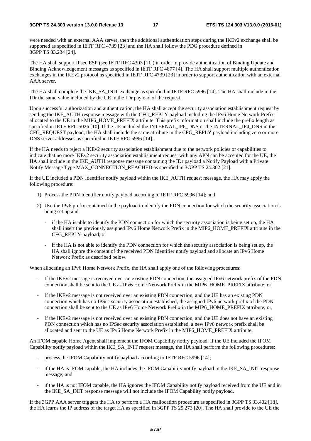were needed with an external AAA server, then the additional authentication steps during the IKEv2 exchange shall be supported as specified in IETF RFC 4739 [23] and the HA shall follow the PDG procedure defined in 3GPP TS 33.234 [24].

The HA shall support IPsec ESP (see IETF RFC 4303 [11]) in order to provide authentication of Binding Update and Binding Acknowledgement messages as specified in IETF RFC 4877 [4]. The HA shall support multiple authentication exchanges in the IKEv2 protocol as specified in IETF RFC 4739 [23] in order to support authentication with an external AAA server.

The HA shall complete the IKE\_SA\_INIT exchange as specified in IETF RFC 5996 [14]. The HA shall include in the IDr the same value included by the UE in the IDr payload of the request.

Upon successful authorization and authentication, the HA shall accept the security association establishment request by sending the IKE\_AUTH response message with the CFG\_REPLY payload including the IPv6 Home Network Prefix allocated to the UE in the MIP6\_HOME\_PREFIX attribute. This prefix information shall include the prefix length as specified in IETF RFC 5026 [10]. If the UE included the INTERNAL IP6 DNS or the INTERNAL IP4 DNS in the CFG\_REQUEST payload, the HA shall include the same attribute in the CFG\_REPLY payload including zero or more DNS server addresses as specified in IETF RFC 5996 [14].

If the HA needs to reject a IKEv2 security association establishment due to the network policies or capabilities to indicate that no more IKEv2 security association establishment request with any APN can be accepted for the UE, the HA shall include in the IKE\_AUTH response message containing the IDr payload a Notify Payload with a Private Notify Message Type MAX\_CONNECTION\_REACHED as specified in 3GPP TS 24.302 [21].

If the UE included a PDN Identifier notify payload within the IKE\_AUTH request message, the HA may apply the following procedure:

- 1) Process the PDN Identifier notify payload according to IETF RFC 5996 [14]; and
- 2) Use the IPv6 prefix contained in the payload to identify the PDN connection for which the security association is being set up and
	- if the HA is able to identify the PDN connection for which the security association is being set up, the HA shall insert the previously assigned IPv6 Home Network Prefix in the MIP6\_HOME\_PREFIX attribute in the CFG\_REPLY payload; or
	- if the HA is not able to identify the PDN connection for which the security association is being set up, the HA shall ignore the content of the received PDN Identifier notify payload and allocate an IPv6 Home Network Prefix as described below.

When allocating an IPv6 Home Network Prefix, the HA shall apply one of the following procedures:

- If the IKEv2 message is received over an existing PDN connection, the assigned IPv6 network prefix of the PDN connection shall be sent to the UE as IPv6 Home Network Prefix in the MIP6\_HOME\_PREFIX attribute; or,
- If the IKEv2 message is not received over an existing PDN connection, and the UE has an existing PDN connection which has no IPSec security association established, the assigned IPv6 network prefix of the PDN connection shall be sent to the UE as IPv6 Home Network Prefix in the MIP6\_HOME\_PREFIX attribute; or,
- If the IKEv2 message is not received over an existing PDN connection, and the UE does not have an existing PDN connection which has no IPSec security association established, a new IPv6 network prefix shall be allocated and sent to the UE as IPv6 Home Network Prefix in the MIP6\_HOME\_PREFIX attribute.

An IFOM capable Home Agent shall implement the IFOM Capability notify payload. If the UE included the IFOM Capability notify payload within the IKE\_SA\_INIT request message, the HA shall perform the following procedures:

- process the IFOM Capability notify payload according to IETF RFC 5996 [14];
- if the HA is IFOM capable, the HA includes the IFOM Capability notify payload in the IKE\_SA\_INIT response message; and
- if the HA is not IFOM capable, the HA ignores the IFOM Capability notify payload received from the UE and in the IKE\_SA\_INIT response message will not include the IFOM Capability notify payload.

If the 3GPP AAA server triggers the HA to perform a HA reallocation procedure as specified in 3GPP TS 33.402 [18], the HA learns the IP address of the target HA as specified in 3GPP TS 29.273 [20]. The HA shall provide to the UE the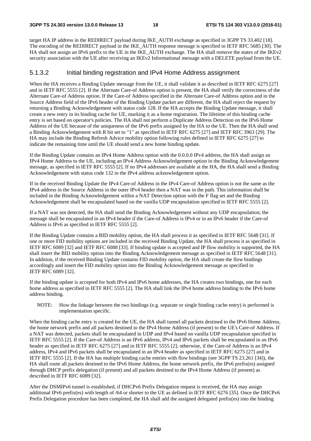target HA IP address in the REDIRECT payload during IKE\_AUTH exchange as specified in 3GPP TS 33.402 [18]. The encoding of the REDIRECT payload in the IKE\_AUTH response message is specified in IETF RFC 5685 [30]. The HA shall not assign an IPv6 prefix to the UE in the IKE\_AUTH exchange. The HA shall remove the states of the IKEv2 security association with the UE after receiving an IKEv2 Informational message with a DELETE payload from the UE.

#### 5.1.3.2 Initial binding registration and IPv4 Home Address assignment

When the HA receives a Binding Update message from the UE, it shall validate it as described in IETF RFC 6275 [27] and in IETF RFC 5555 [2]. If the Alternate Care-of Address option is present, the HA shall verify the correctness of the Alternate Care-of Address option. If the Care-of Address specified in the Alternate Care-of Address option and in the Source Address field of the IPv6 header of the Binding Update packet are different, the HA shall reject the request by returning a Binding Acknowledgement with status code 128. If the HA accepts the Binding Update message, it shall create a new entry in its binding cache for UE, marking it as a home registration. The lifetime of this binding cache entry is set based on operator's policies. The HA shall not perform a Duplicate Address Detection on the IPv6 Home Address of the UE because of the uniqueness of the IPv6 prefix assigned by the HA to the UE. Then the HA shall send a Binding Acknowledgement with R bit set to "1" as specified in IETF RFC 6275 [27] and IETF RFC 3963 [29]. The HA may include the Binding Refresh Advice mobility option following rules defined in IETF RFC 6275 [27] to indicate the remaining time until the UE should send a new home binding update.

If the Binding Update contains an IPv4 Home Address option with the 0.0.0.0 IPv4 address, the HA shall assign an IPv4 Home Address to the UE, including an IPv4 Address Acknowledgement option in the Binding Acknowledgement message, as specified in IETF RFC 5555 [2]. If no IPv4 addresses are available at the HA, the HA shall send a Binding Acknowledgement with status code 132 in the IPv4 address acknowledgement option.

If in the received Binding Update the IPv4 Care-of Address in the IPv4 Care-of Address option is not the same as the IPv4 address in the Source Address in the outer IPv4 header then a NAT was in the path. This information shall be included in the Binding Acknowledgement within a NAT Detection option with the F flag set and the Binding Acknowledgement shall be encapsulated based on the vanilla UDP encapsulation specified in IETF RFC 5555 [2].

If a NAT was not detected, the HA shall send the Binding Acknowledgement without any UDP encapsulation; the message shall be encapsulated in an IPv4 header if the Care-of Address is IPv4 or in an IPv6 header if the Care-of Address is IPv6 as specified in IETF RFC 5555 [2].

If the Binding Update contains a BID mobility option, the HA shall process it as specified in IETF RFC 5648 [31]. If one or more FID mobility options are included in the received Binding Update, the HA shall process it as specified in IETF RFC 6089 [32] and IETF RFC 6088 [33]. If binding update is accepted and IP flow mobility is supported, the HA shall insert the BID mobility option into the Binding Acknowledgement message as specified in IETF RFC 5648 [31]. In addition, if the received Binding Update contains FID mobility option, the HA shall create the flow bindings accordingly and insert the FID mobility option into the Binding Acknowledgement message as specified in IETF RFC 6089 [32].

If the binding update is accepted for both IPv4 and IPv6 home addresses, the HA creates two bindings, one for each home address as specified in IETF RFC 5555 [2]. The HA shall link the IPv4 home address binding to the IPv6 home address binding.

NOTE: How the linkage between the two bindings (e.g. separate or single binding cache entry) is performed is implementation specific.

When the binding cache entry is created for the UE, the HA shall tunnel all packets destined to the IPv6 Home Address, the home network prefix and all packets destined to the IPv4 Home Address (if present) to the UE's Care-of Address. If a NAT was detected, packets shall be encapsulated in UDP and IPv4 based on vanilla UDP encapsulation specified in IETF RFC 5555 [2]. If the Care-of Address is an IPv6 address, IPv4 and IPv6 packets shall be encapsulated in an IPv6 header as specified in IETF RFC 6275 [27] and in IETF RFC 5555 [2]; otherwise, if the Care-of Address is an IPv4 address, IPv4 and IPv6 packets shall be encapsulated in an IPv4 header as specified in IETF RFC 6275 [27] and in IETF RFC 5555 [2]. If the HA has multiple binding cache entries with flow bindings (see 3GPP TS 23.261 [34]), the HA shall route all packets destined to the IPv6 Home Address, the home network prefix, the IPv6 prefix(es) assigned through DHCP prefix delegation (if present) and all packets destined to the IPv4 Home Address (if present) as described in IETF RFC 6089 [32].

After the DSMIPv6 tunnel is established, if DHCPv6 Prefix Delegation request is received, the HA may assign additional IPv6 prefix(es) with length of /64 or shorter to the UE as defined in IETF RFC 6276 [35]. Once the DHCPv6 Prefix Delegation procedure has been completed, the HA shall add the assigned delegated prefix(es) into the binding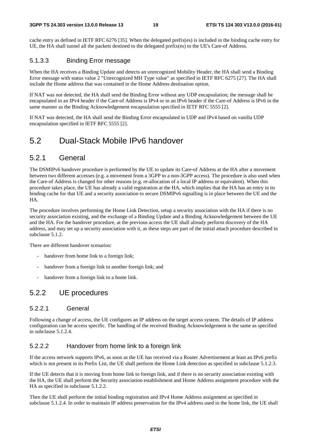cache entry as defined in IETF RFC 6276 [35]. When the delegated prefix(es) is included in the binding cache entry for UE, the HA shall tunnel all the packets destined to the delegated prefix(es) to the UE's Care-of Address.

#### 5.1.3.3 Binding Error message

When the HA receives a Binding Update and detects an unrecognized Mobility Header, the HA shall send a Binding Error message with status value 2 "Unrecognized MH Type value" as specified in IETF RFC 6275 [27]. The HA shall include the Home address that was contained in the Home Address destination option.

If NAT was not detected, the HA shall send the Binding Error without any UDP encapsulation; the message shall be encapsulated in an IPv4 header if the Care-of Address is IPv4 or in an IPv6 header if the Care-of Address is IPv6 in the same manner as the Binding Acknowledgement encapsulation specified in IETF RFC 5555 [2].

If NAT was detected, the HA shall send the Binding Error encapsulated in UDP and IPv4 based on vanilla UDP encapsulation specified in IETF RFC 5555 [2].

### 5.2 Dual-Stack Mobile IPv6 handover

#### 5.2.1 General

The DSMIPv6 handover procedure is performed by the UE to update its Care-of Address at the HA after a movement between two different accesses (e.g. a movement from a 3GPP to a non-3GPP access). The procedure is also used when the Care-of Address is changed for other reasons (e.g. re-allocation of a local IP address or equivalent). When this procedure takes place, the UE has already a valid registration at the HA, which implies that the HA has an entry in its binding cache for that UE and a security association to secure DSMIPv6 signalling is in place between the UE and the HA.

The procedure involves performing the Home Link Detection, setup a security association with the HA if there is no security association existing, and the exchange of a Binding Update and a Binding Acknowledgement between the UE and the HA. For the handover procedure, at the previous access the UE shall already perform discovery of the HA address, and may set up a security association with it, as these steps are part of the initial attach procedure described in subclause 5.1.2.

There are different handover scenarios:

- handover from home link to a foreign link;
- handover from a foreign link to another foreign link; and
- handover from a foreign link to a home link.

#### 5.2.2 UE procedures

#### 5.2.2.1 General

Following a change of access, the UE configures an IP address on the target access system. The details of IP address configuration can be access specific. The handling of the received Binding Acknowledgement is the same as specified in subclause 5.1.2.4.

#### 5.2.2.2 Handover from home link to a foreign link

If the access network supports IPv6, as soon as the UE has received via a Router Advertisement at least an IPv6 prefix which is not present in its Prefix List, the UE shall perform the Home Link detection as specified in subclause 5.1.2.3.

If the UE detects that it is moving from home link to foreign link, and if there is no security association existing with the HA, the UE shall perform the Security association establishment and Home Address assignment procedure with the HA as specified in subclause 5.1.2.2.

Then the UE shall perform the initial binding registration and IPv4 Home Address assignment as specified in subclause 5.1.2.4. In order to maintain IP address preservation for the IPv4 address used in the home link, the UE shall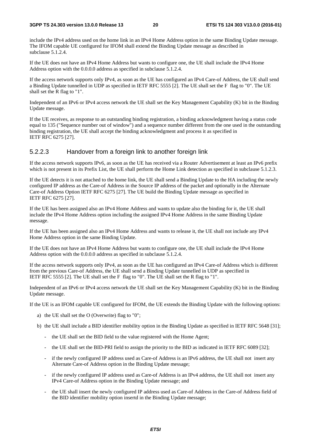include the IPv4 address used on the home link in an IPv4 Home Address option in the same Binding Update message. The IFOM capable UE configured for IFOM shall extend the Binding Update message as described in subclause 5.1.2.4.

If the UE does not have an IPv4 Home Address but wants to configure one, the UE shall include the IPv4 Home Address option with the 0.0.0.0 address as specified in subclause 5.1.2.4.

If the access network supports only IPv4, as soon as the UE has configured an IPv4 Care-of Address, the UE shall send a Binding Update tunnelled in UDP as specified in IETF RFC 5555 [2]. The UE shall set the F flag to "0". The UE shall set the R flag to "1".

Independent of an IPv6 or IPv4 access network the UE shall set the Key Management Capability (K) bit in the Binding Update message.

If the UE receives, as response to an outstanding binding registration, a binding acknowledgment having a status code equal to 135 ("Sequence number out of window") and a sequence number different from the one used in the outstanding binding registration, the UE shall accept the binding acknowledgment and process it as specified in IETF RFC 6275 [27].

#### 5.2.2.3 Handover from a foreign link to another foreign link

If the access network supports IPv6, as soon as the UE has received via a Router Advertisement at least an IPv6 prefix which is not present in its Prefix List, the UE shall perform the Home Link detection as specified in subclause 5.1.2.3.

If the UE detects it is not attached to the home link, the UE shall send a Binding Update to the HA including the newly configured IP address as the Care-of Address in the Source IP address of the packet and optionally in the Alternate Care-of Address Option IETF RFC 6275 [27]. The UE build the Binding Update message as specified in IETF RFC 6275 [27].

If the UE has been assigned also an IPv4 Home Address and wants to update also the binding for it, the UE shall include the IPv4 Home Address option including the assigned IPv4 Home Address in the same Binding Update message.

If the UE has been assigned also an IPv4 Home Address and wants to release it, the UE shall not include any IPv4 Home Address option in the same Binding Update.

If the UE does not have an IPv4 Home Address but wants to configure one, the UE shall include the IPv4 Home Address option with the 0.0.0.0 address as specified in subclause 5.1.2.4.

If the access network supports only IPv4, as soon as the UE has configured an IPv4 Care-of Address which is different from the previous Care-of Address, the UE shall send a Binding Update tunnelled in UDP as specified in IETF RFC 5555 [2]. The UE shall set the F flag to "0". The UE shall set the R flag to "1".

Independent of an IPv6 or IPv4 access network the UE shall set the Key Management Capability (K) bit in the Binding Update message.

If the UE is an IFOM capable UE configured for IFOM, the UE extends the Binding Update with the following options:

- a) the UE shall set the O (Overwrite) flag to "0";
- b) the UE shall include a BID identifier mobility option in the Binding Update as specified in IETF RFC 5648 [31];
	- the UE shall set the BID field to the value registered with the Home Agent;
	- the UE shall set the BID-PRI field to assign the priority to the BID as indicated in IETF RFC 6089 [32];
	- if the newly configured IP address used as Care-of Address is an IPv6 address, the UE shall not insert any Alternate Care-of Address option in the Binding Update message;
	- if the newly configured IP address used as Care-of Address is an IPv4 address, the UE shall not insert any IPv4 Care-of Address option in the Binding Update message; and
	- the UE shall insert the newly configured IP address used as Care-of Address in the Care-of Address field of the BID identifier mobility option insertd in the Binding Update message;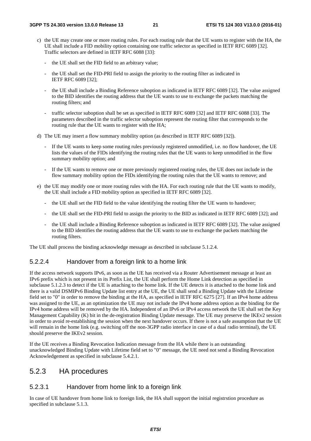- c) the UE may create one or more routing rules. For each routing rule that the UE wants to register with the HA, the UE shall include a FID mobility option containing one traffic selector as specified in IETF RFC 6089 [32]. Traffic selectors are defined in IETF RFC 6088 [33]:
	- the UE shall set the FID field to an arbitrary value;
	- the UE shall set the FID-PRI field to assign the priority to the routing filter as indicated in IETF RFC 6089 [32];
	- the UE shall include a Binding Reference suboption as indicated in IETF RFC 6089 [32]. The value assigned to the BID identifies the routing address that the UE wants to use to exchange the packets matching the routing filters; and
	- traffic selector suboption shall be set as specified in IETF RFC 6089 [32] and IETF RFC 6088 [33]. The parameters described in the traffic selector suboption represent the routing filter that corresponds to the routing rule that the UE wants to register with the HA;
- d) The UE may insert a flow summary mobility option (as described in IETF RFC 6089 [32]).
	- If the UE wants to keep some routing rules previously registered unmodified, i.e. no flow handover, the UE lists the values of the FIDs identifying the routing rules that the UE wants to keep unmodified in the flow summary mobility option; and
	- If the UE wants to remove one or more previously registered routing rules, the UE does not include in the flow summary mobility option the FIDs identifying the routing rules that the UE wants to remove; and
- e) the UE may modify one or more routing rules with the HA. For each routing rule that the UE wants to modify, the UE shall include a FID mobility option as specified in IETF RFC 6089 [32].
	- the UE shall set the FID field to the value identifying the routing filter the UE wants to handover;
	- the UE shall set the FID-PRI field to assign the priority to the BID as indicated in IETF RFC 6089 [32]; and
	- the UE shall include a Binding Reference suboption as indicated in IETF RFC 6089 [32]. The value assigned to the BID identifies the routing address that the UE wants to use to exchange the packets matching the routing filters.

The UE shall process the binding acknowledge message as described in subclause 5.1.2.4.

#### 5.2.2.4 Handover from a foreign link to a home link

If the access network supports IPv6, as soon as the UE has received via a Router Advertisement message at least an IPv6 prefix which is not present in its Prefix List, the UE shall perform the Home Link detection as specified in subclause 5.1.2.3 to detect if the UE is attaching to the home link. If the UE detects it is attached to the home link and there is a valid DSMIPv6 Binding Update list entry at the UE, the UE shall send a Binding Update with the Lifetime field set to "0" in order to remove the binding at the HA, as specified in IETF RFC 6275 [27]. If an IPv4 home address was assigned to the UE, as an optimization the UE may not include the IPv4 home address option as the binding for the IPv4 home address will be removed by the HA. Independent of an IPv6 or IPv4 access network the UE shall set the Key Management Capability (K) bit in the de-registration Binding Update message. The UE may preserve the IKEv2 session in order to avoid re-establishing the session when the next handover occurs. If there is not a safe assumption that the UE will remain in the home link (e.g. switching off the non-3GPP radio interface in case of a dual radio terminal), the UE should preserve the IKEv2 session.

If the UE receives a Binding Revocation Indication message from the HA while there is an outstanding unacknowledged Binding Update with Lifetime field set to "0" message, the UE need not send a Binding Revocation Acknowledgement as specified in subclause 5.4.2.1.

### 5.2.3 HA procedures

#### 5.2.3.1 Handover from home link to a foreign link

In case of UE handover from home link to foreign link, the HA shall support the initial registrstion procedure as specified in subclause 5.1.3.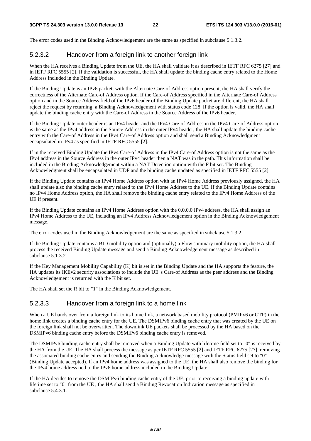The error codes used in the Binding Acknowledgement are the same as specified in subclause 5.1.3.2.

#### 5.2.3.2 Handover from a foreign link to another foreign link

When the HA receives a Binding Update from the UE, the HA shall validate it as described in IETF RFC 6275 [27] and in IETF RFC 5555 [2]. If the validation is successful, the HA shall update the binding cache entry related to the Home Address included in the Binding Update.

If the Binding Update is an IPv6 packet, with the Alternate Care-of Address option present, the HA shall verify the correctness of the Alternate Care-of Address option. If the Care-of Address specified in the Alternate Care-of Address option and in the Source Address field of the IPv6 header of the Binding Update packet are different, the HA shall reject the request by returning a Binding Acknowledgement with status code 128. If the option is valid, the HA shall update the binding cache entry with the Care-of Address in the Source Address of the IPv6 header.

If the Binding Update outer header is an IPv4 header and the IPv4 Care-of Address in the IPv4 Care-of Address option is the same as the IPv4 address in the Source Address in the outer IPv4 header, the HA shall update the binding cache entry with the Care-of Address in the IPv4 Care-of Address option and shall send a Binding Acknowledgment encapsulated in IPv4 as specified in IETF RFC 5555 [2].

If in the received Binding Update the IPv4 Care-of Address in the IPv4 Care-of Address option is not the same as the IPv4 address in the Source Address in the outer IPv4 header then a NAT was in the path. This information shall be included in the Binding Acknowledgement within a NAT Detection option with the F bit set. The Binding Acknowledgment shall be encapsulated in UDP and the binding cache updated as specified in IETF RFC 5555 [2].

If the Binding Update contains an IPv4 Home Address option with an IPv4 Home Address previously assigned, the HA shall update also the binding cache entry related to the IPv4 Home Address to the UE. If the Binding Update contains no IPv4 Home Address option, the HA shall remove the binding cache entry related to the IPv4 Home Address of the UE if present.

If the Binding Update contains an IPv4 Home Address option with the 0.0.0.0 IPv4 address, the HA shall assign an IPv4 Home Address to the UE, including an IPv4 Address Acknowledgement option in the Binding Acknowledgement message.

The error codes used in the Binding Acknowledgement are the same as specified in subclause 5.1.3.2.

If the Binding Update contains a BID mobility option and (optionally) a Flow summary mobility option, the HA shall process the received Binding Update message and send a Binding Acknowledgement message as described in subclause 5.1.3.2.

If the Key Management Mobility Capability (K) bit is set in the Binding Update and the HA supports the feature, the HA updates its IKEv2 security associations to include the UE"s Care-of Address as the peer address and the Binding Acknowledgement is returned with the K bit set.

The HA shall set the R bit to "1" in the Binding Acknowledgement.

#### 5.2.3.3 Handover from a foreign link to a home link

When a UE hands over from a foreign link to its home link, a network based mobility protocol (PMIPv6 or GTP) in the home link creates a binding cache entry for the UE. The DSMIPv6 binding cache entry that was created by the UE on the foreign link shall not be overwritten. The downlink UE packets shall be processed by the HA based on the DSMIPv6 binding cache entry before the DSMIPv6 binding cache entry is removed.

The DSMIPv6 binding cache entry shall be removed when a Binding Update with lifetime field set to "0" is received by the HA from the UE. The HA shall process the message as per IETF RFC 5555 [2] and IETF RFC 6275 [27], removing the associated binding cache entry and sending the Binding Acknowledge message with the Status field set to "0" (Binding Update accepted). If an IPv4 home address was assigned to the UE, the HA shall also remove the binding for the IPv4 home address tied to the IPv6 home address included in the Binding Update.

If the HA decides to remove the DSMIPv6 binding cache entry of the UE, prior to receiving a binding update with lifetime set to "0" from the UE , the HA shall send a Binding Revocation Indication message as specified in subclause 5.4.3.1.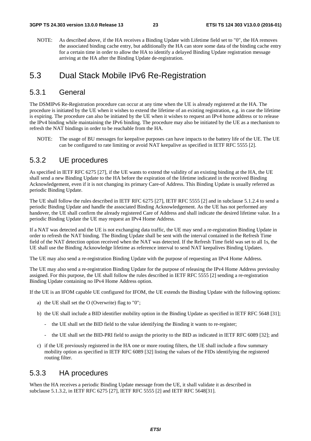NOTE: As described above, if the HA receives a Binding Update with Lifetime field set to "0", the HA removes the associated binding cache entry, but additionally the HA can store some data of the binding cache entry for a certain time in order to allow the HA to identify a delayed Binding Update registration message arriving at the HA after the Binding Update de-registration.

### 5.3 Dual Stack Mobile IPv6 Re-Registration

#### 5.3.1 General

The DSMIPv6 Re-Registration procedure can occur at any time when the UE is already registered at the HA. The procedure is initiated by the UE when it wishes to extend the lifetime of an existing registration, e.g. in case the lifetime is expiring. The procedure can also be initiated by the UE when it wishes to request an IPv4 home address or to release the IPv4 binding while maintaining the IPv6 binding. The procedure may also be initiated by the UE as a mechanism to refresh the NAT bindings in order to be reachable from the HA.

NOTE: The usage of BU messages for keepalive purposes can have impacts to the battery life of the UE. The UE can be configured to rate limiting or avoid NAT keepalive as specified in IETF RFC 5555 [2].

### 5.3.2 UE procedures

As specified in IETF RFC 6275 [27], if the UE wants to extend the validity of an existing binding at the HA, the UE shall send a new Binding Update to the HA before the expiration of the lifetime indicated in the received Binding Acknowledgement, even if it is not changing its primary Care-of Address. This Binding Update is usually referred as periodic Binding Update.

The UE shall follow the rules described in IETF RFC 6275 [27], IETF RFC 5555 [2] and in subclause 5.1.2.4 to send a periodic Binding Update and handle the associated Binding Acknowledgement. As the UE has not performed any handover, the UE shall confirm the already registered Care of Address and shall indicate the desired lifetime value. In a periodic Binding Update the UE may request an IPv4 Home Address.

If a NAT was detected and the UE is not exchanging data traffic, the UE may send a re-registration Binding Update in order to refresh the NAT binding. The Binding Update shall be sent with the interval contained in the Refresh Time field of the NAT detection option received when the NAT was detected. If the Refresh Time field was set to all 1s, the UE shall use the Binding Acknowledge lifetime as reference interval to send NAT keepalives Binding Updates.

The UE may also send a re-registration Binding Update with the purpose of requesting an IPv4 Home Address.

The UE may also send a re-registration Binding Update for the purpose of releasing the IPv4 Home Address previoulsy assigned. For this purpose, the UE shall follow the rules described in IETF RFC 5555 [2] sending a re-registration Binding Update containing no IPv4 Home Address option.

If the UE is an IFOM capable UE configured for IFOM, the UE extends the Binding Update with the following options:

- a) the UE shall set the O (Overwrite) flag to "0";
- b) the UE shall include a BID identifier mobility option in the Binding Update as specified in IETF RFC 5648 [31];
	- the UE shall set the BID field to the value identifying the Binding it wants to re-register;
	- the UE shall set the BID-PRI field to assign the priority to the BID as indicated in IETF RFC 6089 [32]; and
- c) if the UE previously registered in the HA one or more routing filters, the UE shall include a flow summary mobility option as specified in IETF RFC 6089 [32] listing the values of the FIDs identifying the registered routing filter.

#### 5.3.3 HA procedures

When the HA receives a periodic Binding Update message from the UE, it shall validate it as described in subclause 5.1.3.2, in IETF RFC 6275 [27], IETF RFC 5555 [2] and IETF RFC 5648[31].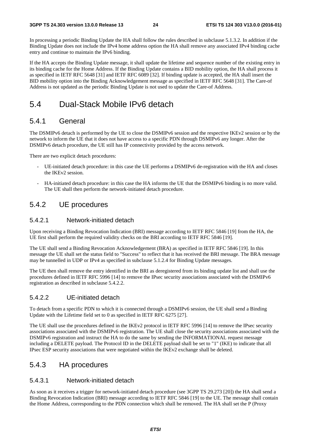In processing a periodic Binding Update the HA shall follow the rules described in subclause 5.1.3.2. In addition if the Binding Update does not include the IPv4 home address option the HA shall remove any associated IPv4 binding cache entry and continue to maintain the IPv6 binding.

If the HA accepts the Binding Update message, it shall update the lifetime and sequence number of the existing entry in its binding cache for the Home Address. If the Binding Update contains a BID mobility option, the HA shall process it as specified in IETF RFC 5648 [31] and IETF RFC 6089 [32]. If binding update is accepted, the HA shall insert the BID mobility option into the Binding Acknowledgement message as specified in IETF RFC 5648 [31]. The Care-of Address is not updated as the periodic Binding Update is not used to update the Care-of Address.

### 5.4 Dual-Stack Mobile IPv6 detach

#### 5.4.1 General

The DSMIPv6 detach is performed by the UE to close the DSMIPv6 session and the respective IKEv2 session or by the network to inform the UE that it does not have access to a specific PDN through DSMIPv6 any longer. After the DSMIPv6 detach procedure, the UE still has IP connectivity provided by the access network.

There are two explicit detach procedures:

- UE-initiated detach procedure: in this case the UE performs a DSMIPv6 de-registration with the HA and closes the IKEv2 session.
- HA-initiated detach procedure: in this case the HA informs the UE that the DSMIPv6 binding is no more valid. The UE shall then perform the network-initiated detach procedure.

### 5.4.2 UE procedures

#### 5.4.2.1 Network-initiated detach

Upon receiving a Binding Revocation Indication (BRI) message according to IETF RFC 5846 [19] from the HA, the UE first shall perform the required validity checks on the BRI according to IETF RFC 5846 [19].

The UE shall send a Binding Revocation Acknowledgement (BRA) as specified in IETF RFC 5846 [19]. In this message the UE shall set the status field to "Success" to reflect that it has received the BRI message. The BRA message may be tunnelled in UDP or IPv4 as specified in subclause 5.1.2.4 for Binding Update messages.

The UE then shall remove the entry identified in the BRI as deregistered from its binding update list and shall use the procedures defined in IETF RFC 5996 [14] to remove the IPsec security associations associated with the DSMIPv6 registration as described in subclause 5.4.2.2.

#### 5.4.2.2 UE-initiated detach

To detach from a specific PDN to which it is connected through a DSMIPv6 session, the UE shall send a Binding Update with the Lifetime field set to 0 as specified in IETF RFC 6275 [27].

The UE shall use the procedures defined in the IKEv2 protocol in IETF RFC 5996 [14] to remove the IPsec security associations associated with the DSMIPv6 registration. The UE shall close the security associations associated with the DSMIPv6 registration and instruct the HA to do the same by sending the INFORMATIONAL request message including a DELETE payload. The Protocol ID in the DELETE payload shall be set to "1" (IKE) to indicate that all IPsec ESP security associations that were negotiated within the IKEv2 exchange shall be deleted.

### 5.4.3 HA procedures

#### 5.4.3.1 Network-initiated detach

As soon as it receives a trigger for network-initiated detach procedure (see 3GPP TS 29.273 [20]) the HA shall send a Binding Revocation Indication (BRI) message according to IETF RFC 5846 [19] to the UE. The message shall contain the Home Address, corresponding to the PDN connection which shall be removed. The HA shall set the P (Proxy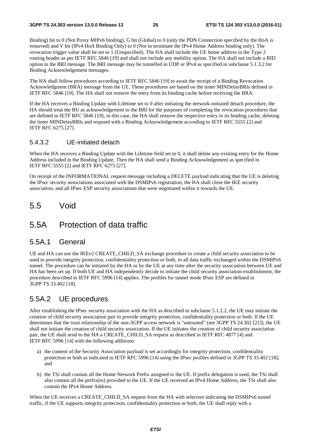Binding) bit to 0 (Not Proxy MIPv6 binding), G bit (Global) to 0 (only the PDN Connection specified by the HoA is removed) and V bit (IPv4 HoA Binding Only) to 0 (Not to terminate the IPv4 Home Address binding only). The revocation trigger value shall be set to 1 (Unspecified). The HA shall include the UE home address in the Type 2 routing header as per IETF RFC 5846 [19] and shall not include any mobility option. The HA shall not include a BID option in the BRI message. The BRI message may be tunnelled in UDP or IPv4 as specified in subclause 5.1.3.2 for Binding Acknowledgement messages.

The HA shall follow procedures according to IETF RFC 5846 [19] to await the receipt of a Binding Revocation Acknowledgment (BRA) message from the UE. These procedures are based on the timer MINDelayBRIs defined in IETF RFC 5846 [19]. The HA shall not remove the entry from its binding cache before receiving the BRA.

If the HA receives a Binding Update with Lifetime set to 0 after initiating the network-initiated detach procedure, the HA should treat the BU as acknowledgement to the BRI for the purposes of completing the revocation procedures that are defined in IETF RFC 5846 [19]; in this case, the HA shall remove the respective entry in its binding cache, deleting the timer MINDelayBRIs and respond with a Binding Acknowledgement according to IETF RFC 5555 [2] and IETF RFC 6275 [27].

#### 5.4.3.2 UE-initiated detach

When the HA receives a Binding Update with the Lifetime field set to 0, it shall delete any existing entry for the Home Address included in the Binding Update. Then the HA shall send a Binding Acknowledgement as specified in IETF RFC 5555 [2] and IETF RFC 6275 [27].

On receipt of the INFORMATIONAL request message including a DELETE payload indicating that the UE is deleting the IPsec security associations associated with the DSMIPv6 registration, the HA shall close the IKE security association, and all IPsec ESP security associations that were negotiated within it towards the UE.

### 5.5 Void

### 5.5A Protection of data traffic

#### 5.5A.1 General

UE and HA can use the IKEv2 CREATE\_CHILD\_SA exchange procedure to create a child security association to be used to provide integrity protection, confidentiality protection or both, to all data traffic exchanged within the DSMIPv6 tunnel. The procedure can be initiated by the HA or by the UE at any time after the security association between UE and HA has been set up. If both UE and HA independently decide to initiate the child security association establishment, the procedure described in IETF RFC 5996 [14] applies. The profiles for tunnel mode IPsec ESP are defined in 3GPP TS 33.402 [18].

### 5.5A.2 UE procedures

After establishing the IPsec security association with the HA as described in subclause 5.1.2.2, the UE may initiate the creation of child security association pair to provide integrity protection, confidentiality protection or both. If the UE determines that the trust relationship of the non-3GPP access network is "untrusted" (see 3GPP TS 24.302 [21]), the UE shall not initiate the creation of child security association. If the UE initiates the creation of child security association pair, the UE shall send to the HA a CREATE\_CHILD\_SA request as described in IETF RFC 4877 [4] and IETF RFC 5996 [14] with the following additions:

- a) the content of the Security Association payload is set accordingly for integrity protection, confidentiality protection or both as indicated in IETF RFC 5996 [14] using the IPsec profiles defined in 3GPP TS 33.402 [18]; and
- b) the TSi shall contain all the Home Network Prefix assigned to the UE. If prefix delegation is used, the TSi shall also contain all the prefix(es) provided to the UE. If the UE received an IPv4 Home Address, the TSi shall also contain the IPv4 Home Address.

When the UE receives a CREATE\_CHILD\_SA request from the HA with selectors indicating the DSMIPv6 tunnel traffic, if the UE supports integrity protection, confidentiality protection or both, the UE shall reply with a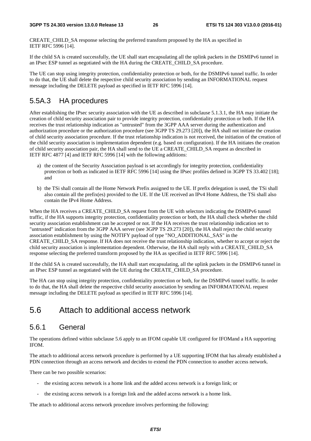CREATE\_CHILD\_SA response selecting the preferred transform proposed by the HA as specified in IETF RFC 5996 [14].

If the child SA is created successfully, the UE shall start encapsulating all the uplink packets in the DSMIPv6 tunnel in an IPsec ESP tunnel as negotiated with the HA during the CREATE\_CHILD\_SA procedure.

The UE can stop using integrity protection, confidentiality protection or both, for the DSMIPv6 tunnel traffic. In order to do that, the UE shall delete the respective child security association by sending an INFORMATIONAL request message including the DELETE payload as specified in IETF RFC 5996 [14].

### 5.5A.3 HA procedures

After establishing the IPsec security association with the UE as described in subclause 5.1.3.1, the HA may initiate the creation of child security association pair to provide integrity protection, confidentiality protection or both. If the HA receives the trust relationship indication as "untrusted" from the 3GPP AAA server during the authentication and authorization procedure or the authorization procedure (see 3GPP TS 29.273 [20]), the HA shall not initiate the creation of child security association procedure. If the trust relationship indication is not received, the initiation of the creation of the child security association is implementation dependent (e.g. based on configuration). If the HA initiates the creation of child security association pair, the HA shall send to the UE a CREATE\_CHILD\_SA request as described in IETF RFC 4877 [4] and IETF RFC 5996 [14] with the following additions:

- a) the content of the Security Association payload is set accordingly for integrity protection, confidentiality protection or both as indicated in IETF RFC 5996 [14] using the IPsec profiles defined in 3GPP TS 33.402 [18]; and
- b) the TSi shall contain all the Home Network Prefix assigned to the UE. If prefix delegation is used, the TSi shall also contain all the prefix(es) provided to the UE. If the UE received an IPv4 Home Address, the TSi shall also contain the IPv4 Home Address.

When the HA receives a CREATE\_CHILD\_SA request from the UE with selectors indicating the DSMIPv6 tunnel traffic, if the HA supports integrity protection, confidentiality protection or both, the HA shall check whether the child security association establishment can be accepted or not. If the HA receives the trust relationship indication set to "untrusted" indication from the 3GPP AAA server (see 3GPP TS 29.273 [20]), the HA shall reject the child security association establishment by using the NOTIFY payload of type "NO\_ADDITIONAL\_SAS" in the CREATE\_CHILD\_SA response. If HA does not receive the trust relationship indication, whether to accept or reject the child security association is implementation dependent. Otherwise, the HA shall reply with a CREATE\_CHILD\_SA response selecting the preferred transform proposed by the HA as specified in IETF RFC 5996 [14].

If the child SA is created successfully, the HA shall start encapsulating, all the uplink packets in the DSMIPv6 tunnel in an IPsec ESP tunnel as negotiated with the UE during the CREATE\_CHILD\_SA procedure.

The HA can stop using integrity protection, confidentiality protection or both, for the DSMIPv6 tunnel traffic. In order to do that, the HA shall delete the respective child security association by sending an INFORMATIONAL request message including the DELETE payload as specified in IETF RFC 5996 [14].

### 5.6 Attach to additional access network

#### 5.6.1 General

The operations defined within subclause 5.6 apply to an IFOM capable UE configured for IFOMand a HA supporting IFOM.

The attach to additional access network procedure is performed by a UE supporting IFOM that has already established a PDN connection through an access network and decides to extend the PDN connection to another access network.

There can be two possible scenarios:

- the existing access network is a home link and the added access network is a foreign link; or
- the existing access network is a foreign link and the added access network is a home link.

The attach to additional access network procedure involves performing the following: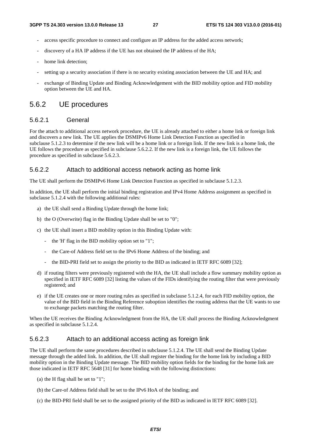- access specific procedure to connect and configure an IP address for the added access network;
- discovery of a HA IP address if the UE has not obtained the IP address of the HA;
- home link detection:
- setting up a security association if there is no security existing association between the UE and HA; and
- exchange of Binding Update and Binding Acknowledgement with the BID mobility option and FID mobility option between the UE and HA.

#### 5.6.2 UE procedures

#### 5.6.2.1 General

For the attach to additional access network procedure, the UE is already attached to either a home link or foreign link and discovers a new link. The UE applies the DSMIPv6 Home Link Detection Function as specified in subclause 5.1.2.3 to determine if the new link will be a home link or a foreign link. If the new link is a home link, the UE follows the procedure as specified in subclause 5.6.2.2. If the new link is a foreign link, the UE follows the procedure as specified in subclause 5.6.2.3.

#### 5.6.2.2 Attach to additional access network acting as home link

The UE shall perform the DSMIPv6 Home Link Detection Function as specified in subclause 5.1.2.3.

In addition, the UE shall perform the initial binding registration and IPv4 Home Address assignment as specified in subclause 5.1.2.4 with the following additional rules:

- a) the UE shall send a Binding Update through the home link;
- b) the O (Overwrite) flag in the Binding Update shall be set to "0";
- c) the UE shall insert a BID mobility option in this Binding Update with:
	- the 'H' flag in the BID mobility option set to "1";
	- the Care-of Address field set to the IPv6 Home Address of the binding; and
	- the BID-PRI field set to assign the priority to the BID as indicated in IETF RFC 6089 [32];
- d) if routing filters were previously registered with the HA, the UE shall include a flow summary mobility option as specified in IETF RFC 6089 [32] listing the values of the FIDs identifying the routing filter that were previously registered; and
- e) if the UE creates one or more routing rules as specified in subclause 5.1.2.4, for each FID mobility option, the value of the BID field in the Binding Reference suboption identifies the routing address that the UE wants to use to exchange packets matching the routing filter.

When the UE receives the Binding Acknowledgment from the HA, the UE shall process the Binding Acknowledgment as specified in subclause 5.1.2.4.

#### 5.6.2.3 Attach to an additional access acting as foreign link

The UE shall perform the same procedures described in subclause 5.1.2.4. The UE shall send the Binding Update message through the added link. In addition, the UE shall register the binding for the home link by including a BID mobility option in the Binding Update message. The BID mobility option fields for the binding for the home link are those indicated in IETF RFC 5648 [31] for home binding with the following distinctions:

- (a) the H flag shall be set to "1";
- (b) the Care-of Address field shall be set to the IPv6 HoA of the binding; and
- (c) the BID-PRI field shall be set to the assigned priority of the BID as indicated in IETF RFC 6089 [32].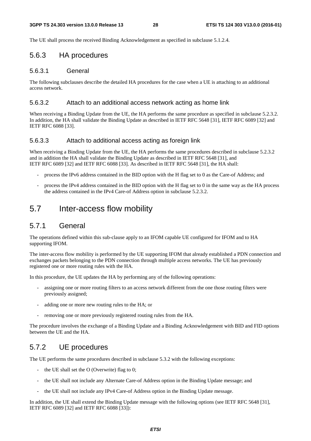The UE shall process the received Binding Acknowledgement as specified in subclause 5.1.2.4.

#### 5.6.3 HA procedures

#### 5.6.3.1 General

The following subclauses describe the detailed HA procedures for the case when a UE is attaching to an additional access network.

#### 5.6.3.2 Attach to an additional access network acting as home link

When receiving a Binding Update from the UE, the HA performs the same procedure as specified in subclause 5.2.3.2. In addition, the HA shall validate the Binding Update as described in IETF RFC 5648 [31], IETF RFC 6089 [32] and IETF RFC 6088 [33].

#### 5.6.3.3 Attach to additional access acting as foreign link

When receiving a Binding Update from the UE, the HA performs the same procedures described in subclause 5.2.3.2 and in addition the HA shall validate the Binding Update as described in IETF RFC 5648 [31], and IETF RFC 6089 [32] and IETF RFC 6088 [33]. As described in IETF RFC 5648 [31], the HA shall:

- process the IPv6 address contained in the BID option with the H flag set to 0 as the Care-of Address; and
- process the IPv4 address contained in the BID option with the H flag set to 0 in the same way as the HA process the address contained in the IPv4 Care-of Address option in subclause 5.2.3.2.

### 5.7 Inter-access flow mobility

#### 5.7.1 General

The operations defined within this sub-clause apply to an IFOM capable UE configured for IFOM and to HA supporting IFOM.

The inter-access flow mobility is performed by the UE supporting IFOM that already established a PDN connection and exchanges packets belonging to the PDN connection through multiple access networks. The UE has previously registered one or more routing rules with the HA.

In this procedure, the UE updates the HA by performing any of the following operations:

- assigning one or more routing filters to an access network different from the one those routing filters were previously assigned;
- adding one or more new routing rules to the HA; or
- removing one or more previously registered routing rules from the HA.

The procedure involves the exchange of a Binding Update and a Binding Acknowledgement with BID and FID options between the UE and the HA.

### 5.7.2 UE procedures

The UE performs the same procedures described in subclause 5.3.2 with the following exceptions:

- the UE shall set the  $O$  (Overwrite) flag to 0;
- the UE shall not include any Alternate Care-of Address option in the Binding Update message; and
- the UE shall not include any IPv4 Care-of Address option in the Binding Update message.

In addition, the UE shall extend the Binding Update message with the following options (see IETF RFC 5648 [31], IETF RFC 6089 [32] and IETF RFC 6088 [33]):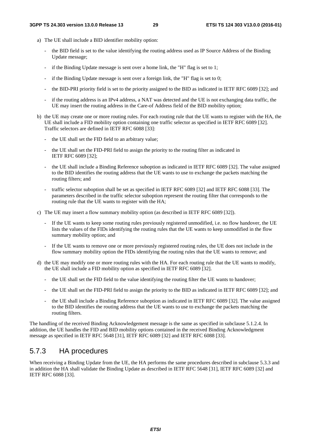- a) The UE shall include a BID identifier mobility option:
	- the BID field is set to the value identifying the routing address used as IP Source Address of the Binding Update message;
	- if the Binding Update message is sent over a home link, the "H" flag is set to 1;
	- if the Binding Update message is sent over a foreign link, the "H" flag is set to  $0$ ;
	- the BID-PRI priority field is set to the priority assigned to the BID as indicated in IETF RFC 6089 [32]; and
	- if the routing address is an IPv4 address, a NAT was detected and the UE is not exchanging data traffic, the UE may insert the routing address in the Care-of Address field of the BID mobility option;
- b) the UE may create one or more routing rules. For each routing rule that the UE wants to register with the HA, the UE shall include a FID mobility option containing one traffic selector as specified in IETF RFC 6089 [32]. Traffic selectors are defined in IETF RFC 6088 [33]:
	- the UE shall set the FID field to an arbitrary value;
	- the UE shall set the FID-PRI field to assign the priority to the routing filter as indicated in IETF RFC 6089 [32];
	- the UE shall include a Binding Reference suboption as indicated in IETF RFC 6089 [32]. The value assigned to the BID identifies the routing address that the UE wants to use to exchange the packets matching the routing filters; and
	- traffic selector suboption shall be set as specified in IETF RFC 6089 [32] and IETF RFC 6088 [33]. The parameters described in the traffic selector suboption represent the routing filter that corresponds to the routing rule that the UE wants to register with the HA;
- c) The UE may insert a flow summary mobility option (as described in IETF RFC 6089 [32]).
	- If the UE wants to keep some routing rules previously registered unmodified, i.e. no flow handover, the UE lists the values of the FIDs identifying the routing rules that the UE wants to keep unmodified in the flow summary mobility option; and
	- If the UE wants to remove one or more previously registered routing rules, the UE does not include in the flow summary mobility option the FIDs identifying the routing rules that the UE wants to remove; and
- d) the UE may modify one or more routing rules with the HA. For each routing rule that the UE wants to modify, the UE shall include a FID mobility option as specified in IETF RFC 6089 [32].
	- the UE shall set the FID field to the value identifying the routing filter the UE wants to handover;
	- the UE shall set the FID-PRI field to assign the priority to the BID as indicated in IETF RFC 6089 [32]; and
	- the UE shall include a Binding Reference suboption as indicated in IETF RFC 6089 [32]. The value assigned to the BID identifies the routing address that the UE wants to use to exchange the packets matching the routing filters.

The handling of the received Binding Acknowledgement message is the same as specified in subclause 5.1.2.4. In addition, the UE handles the FID and BID mobility options contained in the received Binding Acknowledgment message as specified in IETF RFC 5648 [31], IETF RFC 6089 [32] and IETF RFC 6088 [33].

#### 5.7.3 HA procedures

When receiving a Binding Update from the UE, the HA performs the same procedures described in subclause 5.3.3 and in addition the HA shall validate the Binding Update as described in IETF RFC 5648 [31], IETF RFC 6089 [32] and IETF RFC 6088 [33].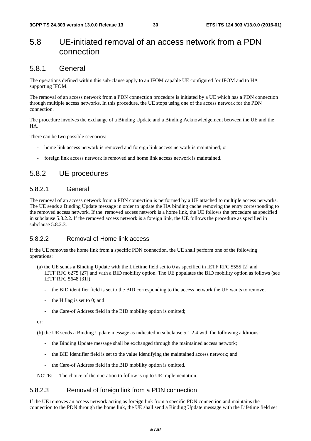### 5.8 UE-initiated removal of an access network from a PDN connection

### 5.8.1 General

The operations defined within this sub-clause apply to an IFOM capable UE configured for IFOM and to HA supporting IFOM.

The removal of an access network from a PDN connection procedure is initiated by a UE which has a PDN connection through multiple access networks. In this procedure, the UE stops using one of the access network for the PDN connection.

The procedure involves the exchange of a Binding Update and a Binding Acknowledgement between the UE and the HA.

There can be two possible scenarios:

- home link access network is removed and foreign link access network is maintained; or
- foreign link access network is removed and home link access network is maintained.

### 5.8.2 UE procedures

#### 5.8.2.1 General

The removal of an access network from a PDN connection is performed by a UE attached to multiple access networks. The UE sends a Binding Update message in order to update the HA binding cache removing the entry corresponding to the removed access network. If the removed access network is a home link, the UE follows the procedure as specified in subclause 5.8.2.2. If the removed access network is a foreign link, the UE follows the procedure as specified in subclause 5.8.2.3.

#### 5.8.2.2 Removal of Home link access

If the UE removes the home link from a specific PDN connection, the UE shall perform one of the following operations:

- (a) the UE sends a Binding Update with the Lifetime field set to 0 as specified in IETF RFC 5555 [2] and IETF RFC 6275 [27] and with a BID mobility option. The UE populates the BID mobility option as follows (see IETF RFC 5648 [31]):
	- the BID identifier field is set to the BID corresponding to the access network the UE wants to remove;
	- the H flag is set to 0; and
	- the Care-of Address field in the BID mobility option is omitted;

or:

(b) the UE sends a Binding Update message as indicated in subclause 5.1.2.4 with the following additions:

- the Binding Update message shall be exchanged through the maintained access network;
- the BID identifier field is set to the value identifying the maintained access network; and
- the Care-of Address field in the BID mobility option is omitted.

NOTE: The choice of the operation to follow is up to UE implementation.

#### 5.8.2.3 Removal of foreign link from a PDN connection

If the UE removes an access network acting as foreign link from a specific PDN connection and maintains the connection to the PDN through the home link, the UE shall send a Binding Update message with the Lifetime field set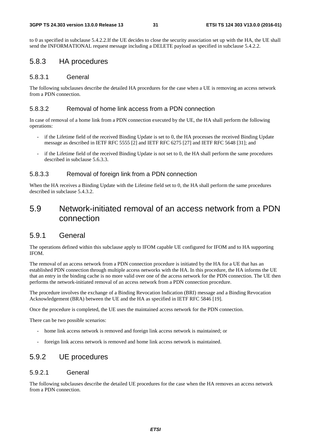to 0 as specified in subclause 5.4.2.2.If the UE decides to close the security association set up with the HA, the UE shall send the INFORMATIONAL request message including a DELETE payload as specified in subclause 5.4.2.2.

#### 5.8.3 HA procedures

#### 5.8.3.1 General

The following subclauses describe the detailed HA procedures for the case when a UE is removing an access network from a PDN connection.

#### 5.8.3.2 Removal of home link access from a PDN connection

In case of removal of a home link from a PDN connection executed by the UE, the HA shall perform the following operations:

- if the Lifetime field of the received Binding Update is set to 0, the HA processes the received Binding Update message as described in IETF RFC 5555 [2] and IETF RFC 6275 [27] and IETF RFC 5648 [31]; and
- if the Lifetime field of the received Binding Update is not set to 0, the HA shall perform the same procedures described in subclause 5.6.3.3.

#### 5.8.3.3 Removal of foreign link from a PDN connection

When the HA receives a Binding Update with the Lifetime field set to 0, the HA shall perform the same procedures described in subclause 5.4.3.2.

### 5.9 Network-initiated removal of an access network from a PDN connection

#### 5.9.1 General

The operations defined within this subclause apply to IFOM capable UE configured for IFOM and to HA supporting IFOM.

The removal of an access network from a PDN connection procedure is initiated by the HA for a UE that has an established PDN connection through multiple access networks with the HA. In this procedure, the HA informs the UE that an entry in the binding cache is no more valid over one of the access network for the PDN connection. The UE then performs the network-initiated removal of an access network from a PDN connection procedure.

The procedure involves the exchange of a Binding Revocation Indication (BRI) message and a Binding Revocation Acknowledgement (BRA) between the UE and the HA as specified in IETF RFC 5846 [19].

Once the procedure is completed, the UE uses the maintained access network for the PDN connection.

There can be two possible scenarios:

- home link access network is removed and foreign link access network is maintained; or
- foreign link access network is removed and home link access network is maintained.

### 5.9.2 UE procedures

#### 5.9.2.1 General

The following subclauses describe the detailed UE procedures for the case when the HA removes an access network from a PDN connection.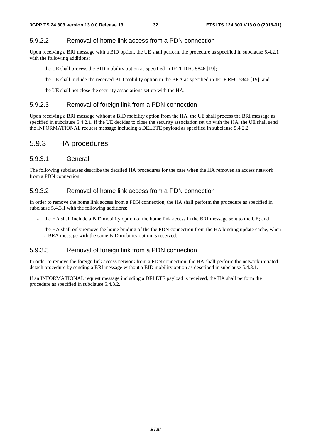#### 5.9.2.2 Removal of home link access from a PDN connection

Upon receiving a BRI message with a BID option, the UE shall perform the procedure as specified in subclause 5.4.2.1 with the following additions:

- the UE shall process the BID mobility option as specified in IETF RFC 5846 [19];
- the UE shall include the received BID mobility option in the BRA as specified in IETF RFC 5846 [19]; and
- the UE shall not close the security associations set up with the HA.

#### 5.9.2.3 Removal of foreign link from a PDN connection

Upon receiving a BRI message without a BID mobility option from the HA, the UE shall process the BRI message as specified in subclause 5.4.2.1. If the UE decides to close the security association set up with the HA, the UE shall send the INFORMATIONAL request message including a DELETE payload as specified in subclause 5.4.2.2.

#### 5.9.3 HA procedures

#### 5.9.3.1 General

The following subclauses describe the detailed HA procedures for the case when the HA removes an access network from a PDN connection.

#### 5.9.3.2 Removal of home link access from a PDN connection

In order to remove the home link access from a PDN connection, the HA shall perform the procedure as specified in subclause 5.4.3.1 with the following additions:

- the HA shall include a BID mobility option of the home link access in the BRI message sent to the UE; and
- the HA shall only remove the home binding of the the PDN connection from the HA binding update cache, when a BRA message with the same BID mobility option is received.

#### 5.9.3.3 Removal of foreign link from a PDN connection

In order to remove the foreign link access network from a PDN connection, the HA shall perform the network initiated detach procedure by sending a BRI message without a BID mobility option as described in subclause 5.4.3.1.

If an INFORMATIONAL request message including a DELETE payload is received, the HA shall perform the procedure as specified in subclause 5.4.3.2.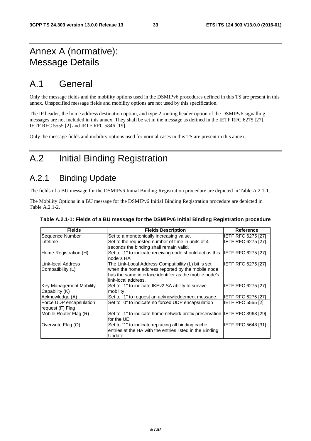## Annex A (normative): Message Details

## A.1 General

Only the message fields and the mobility options used in the DSMIPv6 procedures defined in this TS are present in this annex. Unspecified message fields and mobility options are not used by this specification.

The IP header, the home address destination option, and type 2 routing header option of the DSMIPv6 signalling messages are not included in this annex. They shall be set in the message as defined in the IETF RFC 6275 [27], IETF RFC 5555 [2] and IETF RFC 5846 [19].

Only the message fields and mobility options used for normal cases in this TS are present in this annex.

## A.2 Initial Binding Registration

### A.2.1 Binding Update

The fields of a BU message for the DSMIPv6 Initial Binding Registration procedure are depicted in Table A.2.1-1.

The Mobility Options in a BU message for the DSMIPv6 Initial Binding Registration procedure are depicted in Table A.2.1-2.

| <b>Fields</b>                               | <b>Fields Description</b>                                                                                                                                                                 | Reference                 |
|---------------------------------------------|-------------------------------------------------------------------------------------------------------------------------------------------------------------------------------------------|---------------------------|
| Sequence Number                             | Set to a monotonically increasing value.                                                                                                                                                  | IETF RFC 6275 [27]        |
| <b>Lifetime</b>                             | Set to the requested number of time in units of 4                                                                                                                                         | IETF RFC 6275 [27]        |
|                                             | seconds the binding shall remain valid.                                                                                                                                                   |                           |
| Home Registration (H)                       | Set to "1" to indicate receiving node should act as this<br>node"s HA                                                                                                                     | <b>IETF RFC 6275 [27]</b> |
| Link-local Address<br>Compatibility (L)     | The Link-Local Address Compatibility (L) bit is set<br>when the home address reported by the mobile node<br>has the same interface identifier as the mobile node's<br>link-local address. | IETF RFC 6275 [27]        |
| Key Management Mobility<br>Capability (K)   | Set to "1" to indicate IKEv2 SA ability to survive<br>mobility                                                                                                                            | <b>IETF RFC 6275 [27]</b> |
| Acknowledge (A)                             | Set to "1" to request an acknowledgement message.                                                                                                                                         | <b>IETF RFC 6275 [27]</b> |
| Force UDP encapsulation<br>request (F) Flag | Set to "0" to indicate no forced UDP encapsulation                                                                                                                                        | <b>IETF RFC 5555 [2]</b>  |
| Mobile Router Flag (R)                      | Set to "1" to indicate home network prefix preservation IETF RFC 3963 [29]<br>for the UE.                                                                                                 |                           |
| Overwrite Flag (O)                          | Set to "1" to indicate replacing all binding cache<br>entries at the HA with the entries listed in the Binding<br>Update.                                                                 | IETF RFC 5648 [31]        |

**Table A.2.1-1: Fields of a BU message for the DSMIPv6 Initial Binding Registration procedure**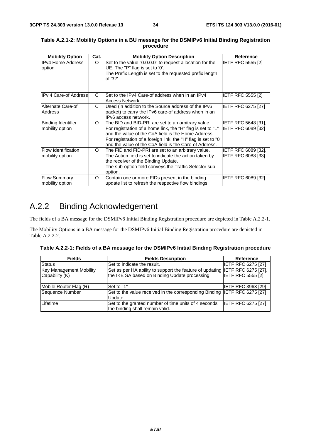| <b>Mobility Option</b>                        | Cat. | <b>Mobility Option Description</b>                                                                                                                                                                                                                                                                   | Reference                                 |
|-----------------------------------------------|------|------------------------------------------------------------------------------------------------------------------------------------------------------------------------------------------------------------------------------------------------------------------------------------------------------|-------------------------------------------|
| <b>IPv4 Home Address</b><br>option            | O    | Set to the value "0.0.0.0" to request allocation for the<br>UE. The "P" flag is set to '0'.<br>The Prefix Length is set to the requested prefix length<br>of '32'.                                                                                                                                   | <b>IETF RFC 5555 [2]</b>                  |
| <b>IPv 4 Care-of Address</b>                  | C    | Set to the IPv4 Care-of address when in an IPv4<br>Access Network.                                                                                                                                                                                                                                   | <b>IETF RFC 5555 [2]</b>                  |
| Alternate Care-of<br><b>Address</b>           | C    | Used (in addition to the Source address of the IPv6<br>packet) to carry the IPv6 care-of address when in an<br>IPv6 access network.                                                                                                                                                                  | <b>IETF RFC 6275 [27]</b>                 |
| Binding Identifier<br>mobility option         | O    | The BID and BID-PRI are set to an arbitrary value.<br>For registration of a home link, the "H" flag is set to "1"<br>and the value of the CoA field is the Home Address.<br>For registration of a foreign link, the "H" flag is set to "0"<br>and the value of the CoA field is the Care-of Address. | IETF RFC 5648 [31],<br>IETF RFC 6089 [32] |
| <b>Flow Identification</b><br>mobility option | O    | The FID and FID-PRI are set to an arbitrary value.<br>The Action field is set to indicate the action taken by<br>the receiver of the Binding Update.<br>The sub-option field conveys the Traffic Selector sub-<br>option.                                                                            | IETF RFC 6089 [32],<br>IETF RFC 6088 [33] |
| <b>Flow Summary</b><br>mobility option        | O    | Contain one or more FIDs present in the binding<br>update list to refresh the respective flow bindings.                                                                                                                                                                                              | <b>IETF RFC 6089 [32]</b>                 |

#### **Table A.2.1-2: Mobility Options in a BU message for the DSMIPv6 Initial Binding Registration procedure**

## A.2.2 Binding Acknowledgement

The fields of a BA message for the DSMIPv6 Initial Binding Registration procedure are depicted in Table A.2.2-1.

The Mobility Options in a BA message for the DSMIPv6 Initial Binding Registration procedure are depicted in Table A.2.2-2.

| Table A.2.2-1: Fields of a BA message for the DSMIPv6 Initial Binding Registration procedure |  |  |
|----------------------------------------------------------------------------------------------|--|--|
|                                                                                              |  |  |

| <b>Fields</b>           | <b>Fields Description</b>                                                               | Reference                 |
|-------------------------|-----------------------------------------------------------------------------------------|---------------------------|
| <b>Status</b>           | Set to indicate the result.                                                             | <b>IETF RFC 6275 [27]</b> |
| Key Management Mobility | Set as per HA ability to support the feature of updating IETF RFC 6275 [27],            |                           |
| Capability (K)          | the IKE SA based on Binding Update processing                                           | <b>IETF RFC 5555 [2]</b>  |
|                         |                                                                                         |                           |
| Mobile Router Flag (R)  | Set to "1"                                                                              | <b>IETF RFC 3963 [29]</b> |
| Sequence Number         | Set to the value received in the corresponding Binding IETF RFC 6275 [27]               |                           |
|                         | Update.                                                                                 |                           |
| Lifetime                | Set to the granted number of time units of 4 seconds<br>the binding shall remain valid. | <b>IETF RFC 6275 [27]</b> |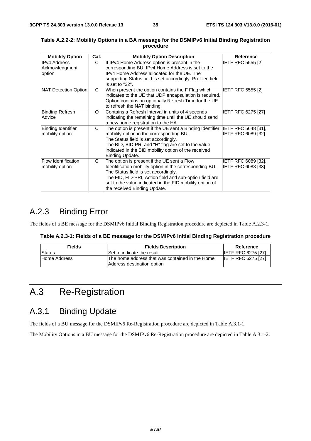| <b>Mobility Option</b>                          | Cat. | <b>Mobility Option Description</b>                                                                                                                                                                                                                                                                    | Reference                                 |
|-------------------------------------------------|------|-------------------------------------------------------------------------------------------------------------------------------------------------------------------------------------------------------------------------------------------------------------------------------------------------------|-------------------------------------------|
| <b>IPv4 Address</b><br>Acknowledgment<br>option | C    | If IPv4 Home Address option is present in the<br>corresponding BU, IPv4 Home Address is set to the<br>IPv4 Home Address allocated for the UE. The<br>supporting Status field is set accordingly. Pref-len field<br>is set to "32".                                                                    | <b>IETF RFC 5555 [2]</b>                  |
| NAT Detection Option                            | C    | When present the option contains the F Flag which<br>indicates to the UE that UDP encapsulation is required.<br>Option contains an optionally Refresh Time for the UE<br>to refresh the NAT binding.                                                                                                  | <b>IETF RFC 5555 [2]</b>                  |
| <b>Binding Refresh</b><br>Advice                | O    | Contains a Refresh Interval in units of 4 seconds<br>indicating the remaining time until the UE should send<br>a new home registration to the HA.                                                                                                                                                     | IETF RFC 6275 [27]                        |
| Binding Identifier<br>mobility option           | C    | The option is present if the UE sent a Binding Identifier<br>mobility option in the corresponding BU.<br>The Status field is set accordingly.<br>The BID, BID-PRI and "H" flag are set to the value<br>indicated in the BID mobility option of the received<br>Binding Update.                        | IETF RFC 5648 [31],<br>IETF RFC 6089 [32] |
| <b>Flow Identification</b><br>mobility option   | C    | The option is present if the UE sent a Flow<br>Identification mobility option in the corresponding BU.<br>The Status field is set accordingly.<br>The FID, FID-PRI, Action field and sub-option field are<br>set to the value indicated in the FID mobility option of<br>the received Binding Update. | IETF RFC 6089 [32],<br>IETF RFC 6088 [33] |

#### **Table A.2.2-2: Mobility Options in a BA message for the DSMIPv6 Initial Binding Registration procedure**

## A.2.3 Binding Error

The fields of a BE message for the DSMIPv6 Initial Binding Registration procedure are depicted in Table A.2.3-1.

|  | Table A.2.3-1: Fields of a BE message for the DSMIPv6 Initial Binding Registration procedure |
|--|----------------------------------------------------------------------------------------------|
|--|----------------------------------------------------------------------------------------------|

| <b>Fields</b> | <b>Fields Description</b>                                                      | Reference                 |
|---------------|--------------------------------------------------------------------------------|---------------------------|
| <b>Status</b> | Set to indicate the result.                                                    | <b>IETF RFC 6275 [27]</b> |
| Home Address  | IThe home address that was contained in the Home<br>Address destination option | <b>IETF RFC 6275 [27]</b> |

## A.3 Re-Registration

### A.3.1 Binding Update

The fields of a BU message for the DSMIPv6 Re-Registration procedure are depicted in Table A.3.1-1.

The Mobility Options in a BU message for the DSMIPv6 Re-Registration procedure are depicted in Table A.3.1-2.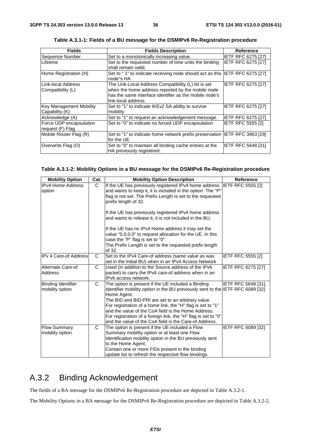| <b>Fields</b>           | <b>Fields Description</b>                                                                | Reference                |
|-------------------------|------------------------------------------------------------------------------------------|--------------------------|
| Sequence Number         | Set to a monotonically increasing value.                                                 | IETF RFC 6275 [27]       |
| Lifetime                | Set to the requested number of time units the binding                                    | IETF RFC 6275 [27]       |
|                         | shall remain valid.                                                                      |                          |
| Home Registration (H)   | Set to "1" to indicate receiving node should act as this IETF RFC 6275 [27]<br>node"s HA |                          |
| Link-local Address      | The Link-Local Address Compatibility (L) bit is set                                      | IETF RFC 6275 [27]       |
| Compatibility (L)       | when the home address reported by the mobile node                                        |                          |
|                         | has the same interface identifier as the mobile node's                                   |                          |
|                         | link-local address.                                                                      |                          |
| Key Management Mobility | Set to "1" to indicate IKEv2 SA ability to survive                                       | IETF RFC 6275 [27]       |
| Capability (K)          | mobility                                                                                 |                          |
| Acknowledge (A)         | Set to "1" to request an acknowledgement message.                                        | IETF RFC 6275 [27]       |
| Force UDP encapsulation | Set to "0" to indicate no forced UDP encapsulation                                       | <b>IETF RFC 5555 [2]</b> |
| request (F) Flag        |                                                                                          |                          |
| Mobile Router Flag (R)  | Set to "1" to indicate home network prefix preservation  IETF RFC 3963 [29]              |                          |
|                         | for the UE.                                                                              |                          |
| Overwrite Flag (O)      | Set to "0" to maintain all binding cache entries at the                                  | IETF RFC 5648 [31]       |
|                         | HA previously registered.                                                                |                          |

**Table A.3.1-1: Fields of a BU message for the DSMIPv6 Re-Registration procedure** 

#### **Table A.3.1-2: Mobility Options in a BU message for the DSMIPv6 Re-Registration procedure**

| <b>Mobility Option</b>                       | Cat.         | <b>Mobility Option Description</b>                                                                                                                                                                                                                                                           | <b>Reference</b>         |
|----------------------------------------------|--------------|----------------------------------------------------------------------------------------------------------------------------------------------------------------------------------------------------------------------------------------------------------------------------------------------|--------------------------|
| IPv4 Home Address<br>option                  | C.           | If the UE has previously registered IPv4 home address<br>and wants to keep it, it is included in the option. The "P"<br>flag is not set. The Prefix Length is set to the requested                                                                                                           | <b>IETF RFC 5555 [2]</b> |
|                                              |              | prefix length of 32.<br>If the UE has previously registered IPv4 home address                                                                                                                                                                                                                |                          |
|                                              |              | and wants to release it, it is not included in the BU.<br>If the UE has no IPv4 Home address it may set the                                                                                                                                                                                  |                          |
|                                              |              | value "0.0.0.0" to request allocation for the UE. In this<br>case the "P" flag is set to "0".                                                                                                                                                                                                |                          |
|                                              |              | The Prefix Length is set to the requested prefix length<br>of 32.                                                                                                                                                                                                                            |                          |
| <b>IPv 4 Care-of Address</b>                 | C            | Set to the IPv4 Care-of address (same value as was<br>set in the Initial BU) when in an IPv4 Access Network                                                                                                                                                                                  | <b>IETF RFC 5555 [2]</b> |
| Alternate Care-of<br>Address                 | $\mathsf{C}$ | Used (in addition to the Source address of the IPv6<br>packet) to carry the IPv6 care-of address when in an<br>IPv6 access network.                                                                                                                                                          | IETF RFC 6275 [27]       |
| <b>Binding Identifier</b><br>mobility option | C            | The option is present if the UE included a Binding<br>Identifier mobility option in the BU previously sent to the IETF RFC 6089 [32]<br>Home Agent.<br>The BID and BID-PRI are set to an arbitrary value.                                                                                    | IETF RFC 5648 [31],      |
|                                              |              | For registration of a home link, the "H" flag is set to "1"<br>and the value of the CoA field is the Home Address.<br>For registration of a foreign link, the "H" flag is set to "0"<br>and the value of the CoA field is the Care-of Address.                                               |                          |
| <b>Flow Summary</b><br>mobility option       | C            | The option is present if the UE included a Flow<br>Summary mobility option or at least one Flow<br>Identification mobility option in the BU previously sent<br>to the Home Agent.<br>Contain one or more FIDs present in the binding<br>update list to refresh the respective flow bindings. | IETF RFC 6089 [32]       |

## A.3.2 Binding Acknowledgement

The fields of a BA message for the DSMIPv6 Re-Registration procedure are depicted in Table A.3.2-1.

The Mobility Options in a BA message for the DSMIPv6 Re-Registration procedure are depicted in Table A.3.2-2.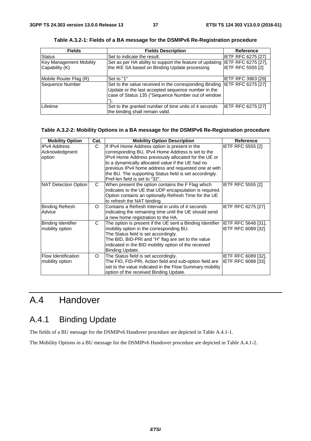| <b>Fields</b>                  | <b>Fields Description</b>                                                                                                                                          | <b>Reference</b>          |
|--------------------------------|--------------------------------------------------------------------------------------------------------------------------------------------------------------------|---------------------------|
| Status                         | Set to indicate the result.                                                                                                                                        | <b>IETF RFC 6275 [27]</b> |
| <b>Key Management Mobility</b> | Set as per HA ability to support the feature of updating IETF RFC 6275 [27],                                                                                       |                           |
| Capability (K)                 | the IKE SA based on Binding Update processing                                                                                                                      | <b>IETF RFC 5555 [2]</b>  |
| Mobile Router Flag (R)         | Set to "1"                                                                                                                                                         | <b>IETF RFC 3963 [29]</b> |
| Sequence Number                | Set to the value received in the corresponding Binding<br>Update or the last accepted sequence number in the<br>case of Status 135 ("Sequence Number out of window | <b>IETF RFC 6275 [27]</b> |
| Lifetime                       | Set to the granted number of time units of 4 seconds<br>the binding shall remain valid.                                                                            | IETF RFC 6275 [27]        |

**Table A.3.2-1: Fields of a BA message for the DSMIPv6 Re-Registration procedure** 

#### **Table A.3.2-2: Mobility Options in a BA message for the DSMIPv6 Re-Registration procedure**

| <b>Mobility Option</b>                          | Cat.     | <b>Mobility Option Description</b>                                                                                                                                                                                                                                                                                                                                   | <b>Reference</b>                                        |
|-------------------------------------------------|----------|----------------------------------------------------------------------------------------------------------------------------------------------------------------------------------------------------------------------------------------------------------------------------------------------------------------------------------------------------------------------|---------------------------------------------------------|
| <b>IPv4 Address</b><br>Acknowledgment<br>option | C        | If IPv4 Home Address option is present in the<br>corresponding BU, IPv4 Home Address is set to the<br>IPv4 Home Address previously allocated for the UE or<br>to a dynamically allocated value if the UE had no<br>previous IPv4 home address and requested one at with<br>the BU. The supporting Status field is set accordingly.<br>Pref-len field is set to "32". | <b>IETF RFC 5555 [2]</b>                                |
| NAT Detection Option                            | C        | When present the option contains the F Flag which<br>indicates to the UE that UDP encapsulation is required.<br>Option contains an optionally Refresh Time for the UE<br>to refresh the NAT binding.                                                                                                                                                                 | <b>IETF RFC 5555 [2]</b>                                |
| <b>Binding Refresh</b><br>Advice                | $\Omega$ | Contains a Refresh Interval in units of 4 seconds<br>indicating the remaining time until the UE should send<br>a new home registration to the HA.                                                                                                                                                                                                                    | IETF RFC 6275 [27]                                      |
| <b>Binding Identifier</b><br>mobility option    | C        | The option is present if the UE sent a Binding Identifier  IETF RFC 5648 [31],<br>mobility option in the corresponding BU.<br>The Status field is set accordingly.<br>The BID, BID-PRI and "H" flag are set to the value<br>indicated in the BID mobility option of the received<br>Binding Update.                                                                  | IETF RFC 6089 [32]                                      |
| Flow Identification<br>mobility option          | O        | The Status field is set accordingly.<br>The FID, FID-PRI, Action field and sub-option field are<br>set to the value indicated in the Flow Summary mobility<br>option of the received Binding Update.                                                                                                                                                                 | <b>IETF RFC 6089 [32].</b><br><b>IETF RFC 6088 [33]</b> |

## A.4 Handover

## A.4.1 Binding Update

The fields of a BU message for the DSMIPv6 Handover procedure are depicted in Table A.4.1-1.

The Mobility Options in a BU message for the DSMIPv6 Handover procedure are depicted in Table A.4.1-2.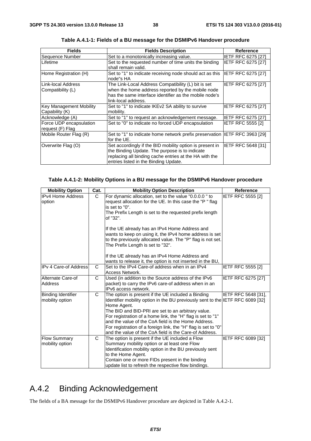| <b>Fields</b>                  | <b>Fields Description</b>                                                   | Reference                 |
|--------------------------------|-----------------------------------------------------------------------------|---------------------------|
| Sequence Number                | Set to a monotonically increasing value.                                    | <b>IETF RFC 6275 [27]</b> |
| Lifetime                       | Set to the requested number of time units the binding                       | IETF RFC 6275 [27]        |
|                                | shall remain valid.                                                         |                           |
| Home Registration (H)          | Set to "1" to indicate receiving node should act as this                    | <b>IETF RFC 6275 [27]</b> |
|                                | node"s HA                                                                   |                           |
| ILink-local Address            | The Link-Local Address Compatibility (L) bit is set                         | IETF RFC 6275 [27]        |
| Compatibility (L)              | when the home address reported by the mobile node                           |                           |
|                                | has the same interface identifier as the mobile node's                      |                           |
|                                | link-local address.                                                         |                           |
| <b>Key Management Mobility</b> | Set to "1" to indicate IKEv2 SA ability to survive                          | <b>IETF RFC 6275 [27]</b> |
| Capability (K)                 | mobility.                                                                   |                           |
| Acknowledge (A)                | Set to "1" to request an acknowledgement message.                           | <b>IETF RFC 6275 [27]</b> |
| Force UDP encapsulation        | Set to "0" to indicate no forced UDP encapsulation                          | <b>IETF RFC 5555 [2]</b>  |
| request (F) Flag               |                                                                             |                           |
| Mobile Router Flag (R)         | Set to "1" to indicate home network prefix preservation  IETF RFC 3963 [29] |                           |
|                                | for the UE.                                                                 |                           |
| Overwrite Flag (O)             | Set accordingly if the BID mobility option is present in                    | <b>IETF RFC 5648 [31]</b> |
|                                | the Binding Update. The purpose is to indicate                              |                           |
|                                | replacing all binding cache entries at the HA with the                      |                           |
|                                | entries listed in the Binding Update.                                       |                           |

**Table A.4.1-1: Fields of a BU message for the DSMIPv6 Handover procedure** 

#### **Table A.4.1-2: Mobility Options in a BU message for the DSMIPv6 Handover procedure**

| <b>Mobility Option</b>                       | Cat. | <b>Mobility Option Description</b>                                                                                                                                                                                                                                                                                                                                                                                                                          | <b>Reference</b>         |
|----------------------------------------------|------|-------------------------------------------------------------------------------------------------------------------------------------------------------------------------------------------------------------------------------------------------------------------------------------------------------------------------------------------------------------------------------------------------------------------------------------------------------------|--------------------------|
| <b>IPv4 Home Address</b><br>option           | C    | For dynamic allocation, set to the value "0.0.0.0" to<br>request allocation for the UE. In this case the "P" flag<br>is set to "0".<br>The Prefix Length is set to the requested prefix length<br>of "32".<br>If the UE already has an IPv4 Home Address and<br>wants to keep on using it, the IPv4 home address is set                                                                                                                                     | IETF RFC 5555 [2]        |
|                                              |      | to the previously allocated value. The "P" flag is not set.<br>The Prefix Length is set to "32".<br>If the UE already has an IPv4 Home Address and<br>wants to release it, the option is not inserted in the BU,                                                                                                                                                                                                                                            |                          |
| IIPv 4 Care-of Address                       | C    | Set to the IPv4 Care-of address when in an IPv4<br>Access Network.                                                                                                                                                                                                                                                                                                                                                                                          | <b>IETF RFC 5555 [2]</b> |
| Alternate Care-of<br>Address                 | C    | Used (in addition to the Source address of the IPv6<br>packet) to carry the IPv6 care-of address when in an<br>IPv6 access network.                                                                                                                                                                                                                                                                                                                         | IETF RFC 6275 [27]       |
| <b>Binding Identifier</b><br>mobility option | C.   | The option is present if the UE included a Binding<br>Identifier mobility option in the BU previously sent to the IETF RFC 6089 [32]<br>Home Agent.<br>The BID and BID-PRI are set to an arbitrary value.<br>For registration of a home link, the "H" flag is set to "1"<br>and the value of the CoA field is the Home Address.<br>For registration of a foreign link, the "H" flag is set to "0"<br>and the value of the CoA field is the Care-of Address. | IETF RFC 5648 [31],      |
| <b>Flow Summary</b><br>mobility option       | C    | The option is present if the UE included a Flow<br>Summary mobility option or at least one Flow<br>Identification mobility option in the BU previously sent<br>to the Home Agent.<br>Contain one or more FIDs present in the binding<br>update list to refresh the respective flow bindings.                                                                                                                                                                | IETF RFC 6089 [32]       |

## A.4.2 Binding Acknowledgement

The fields of a BA message for the DSMIPv6 Handover procedure are depicted in Table A.4.2-1.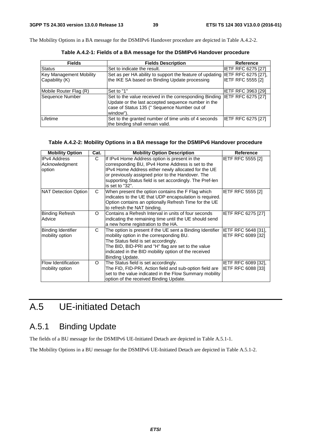The Mobility Options in a BA message for the DSMIPv6 Handover procedure are depicted in Table A.4.2-2.

| <b>Fields</b>                  | <b>Fields Description</b>                                                                                                                                                 | <b>Reference</b>          |
|--------------------------------|---------------------------------------------------------------------------------------------------------------------------------------------------------------------------|---------------------------|
| <b>Status</b>                  | Set to indicate the result.                                                                                                                                               | <b>IETF RFC 6275 [27]</b> |
| <b>Key Management Mobility</b> | Set as per HA ability to support the feature of updating IETF RFC 6275 [27],                                                                                              |                           |
| Capability (K)                 | the IKE SA based on Binding Update processing                                                                                                                             | <b>IETF RFC 5555 [2]</b>  |
| Mobile Router Flag (R)         | Set to "1"                                                                                                                                                                | IETF RFC 3963 [29]        |
| Sequence Number                | Set to the value received in the corresponding Binding<br>Update or the last accepted sequence number in the<br>case of Status 135 (" Sequence Number out of<br>window"). | <b>IETF RFC 6275 [27]</b> |
| Lifetime                       | Set to the granted number of time units of 4 seconds<br>the binding shall remain valid.                                                                                   | <b>IETF RFC 6275 [27]</b> |

**Table A.4.2-1: Fields of a BA message for the DSMIPv6 Handover procedure** 

#### **Table A.4.2-2: Mobility Options in a BA message for the DSMIPv6 Handover procedure**

| <b>Mobility Option</b>     | Cat.     | <b>Mobility Option Description</b>                        | <b>Reference</b>          |
|----------------------------|----------|-----------------------------------------------------------|---------------------------|
| <b>IPv4 Address</b>        | C        | If IPv4 Home Address option is present in the             | <b>IETF RFC 5555 [2]</b>  |
| Acknowledgment             |          | corresponding BU, IPv4 Home Address is set to the         |                           |
| option                     |          | IPv4 Home Address either newly allocated for the UE       |                           |
|                            |          | or previously assigned prior to the Handover. The         |                           |
|                            |          | supporting Status field is set accordingly. The Pref-len  |                           |
|                            |          | is set to "32".                                           |                           |
| NAT Detection Option       | C        | When present the option contains the F Flag which         | <b>IETF RFC 5555 [2]</b>  |
|                            |          | indicates to the UE that UDP encapsulation is required.   |                           |
|                            |          | Option contains an optionally Refresh Time for the UE     |                           |
|                            |          | to refresh the NAT binding.                               |                           |
| <b>Binding Refresh</b>     | $\Omega$ | Contains a Refresh Interval in units of four seconds      | <b>IETF RFC 6275 [27]</b> |
| Advice                     |          | indicating the remaining time until the UE should send    |                           |
|                            |          | a new home registration to the HA.                        |                           |
| <b>Binding Identifier</b>  | C        | The option is present if the UE sent a Binding Identifier | IETF RFC 5648 [31],       |
| mobility option            |          | mobility option in the corresponding BU.                  | IETF RFC 6089 [32]        |
|                            |          | The Status field is set accordingly.                      |                           |
|                            |          | The BID, BID-PRI and "H" flag are set to the value        |                           |
|                            |          | indicated in the BID mobility option of the received      |                           |
|                            |          | Binding Update.                                           |                           |
| <b>Flow Identification</b> | O        | The Status field is set accordingly.                      | IETF RFC 6089 [32],       |
| mobility option            |          | The FID, FID-PRI, Action field and sub-option field are   | IETF RFC 6088 [33]        |
|                            |          | set to the value indicated in the Flow Summary mobility   |                           |
|                            |          | option of the received Binding Update.                    |                           |

## A.5 UE-initiated Detach

## A.5.1 Binding Update

The fields of a BU message for the DSMIPv6 UE-Initiated Detach are depicted in Table A.5.1-1.

The Mobility Options in a BU message for the DSMIPv6 UE-Initiated Detach are depicted in Table A.5.1-2.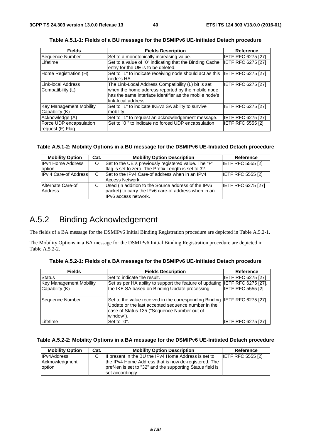| <b>Fields</b>                               | <b>Fields Description</b>                                                                                                                                                                 | Reference                 |
|---------------------------------------------|-------------------------------------------------------------------------------------------------------------------------------------------------------------------------------------------|---------------------------|
| Sequence Number                             | Set to a monotonically increasing value.                                                                                                                                                  | <b>IETF RFC 6275 [27]</b> |
| Lifetime                                    | Set to a value of "0" indicating that the Binding Cache<br>entry for the UE is to be deleted.                                                                                             | <b>IETF RFC 6275 [27]</b> |
| Home Registration (H)                       | Set to "1" to indicate receiving node should act as this  IETF RFC 6275 [27]<br>node"s HA                                                                                                 |                           |
| Link-local Address<br>Compatibility (L)     | The Link-Local Address Compatibility (L) bit is set<br>when the home address reported by the mobile node<br>has the same interface identifier as the mobile node's<br>link-local address. | IETF RFC 6275 [27]        |
| Key Management Mobility<br>Capability (K)   | Set to "1" to indicate IKEv2 SA ability to survive<br>mobility                                                                                                                            | IETF RFC 6275 [27]        |
| Acknowledge (A)                             | Set to "1" to request an acknowledgement message.                                                                                                                                         | <b>IETF RFC 6275 [27]</b> |
| Force UDP encapsulation<br>request (F) Flag | Set to "0" to indicate no forced UDP encapsulation                                                                                                                                        | <b>IETF RFC 5555 [2]</b>  |

**Table A.5.1-1: Fields of a BU message for the DSMIPv6 UE-Initiated Detach procedure** 

#### **Table A.5.1-2: Mobility Options in a BU message for the DSMIPv6 UE-Initiated Detach procedure**

| <b>Mobility Option</b>             | Cat. | <b>Mobility Option Description</b>                                                                                                  | Reference                 |
|------------------------------------|------|-------------------------------------------------------------------------------------------------------------------------------------|---------------------------|
| <b>IPv4 Home Address</b><br>option | O    | Set to the UE"s previously registered value. The "P"<br>flag is set to zero. The Prefix Length is set to 32.                        | <b>IETF RFC 5555 [2]</b>  |
| <b>IPv 4 Care-of Address</b>       | C    | Set to the IPv4 Care-of address when in an IPv4<br>Access Network.                                                                  | <b>IETF RFC 5555 [2]</b>  |
| Alternate Care-of<br>Address       | С    | Used (in addition to the Source address of the IPv6<br>packet) to carry the IPv6 care-of address when in an<br>IPv6 access network. | <b>IETF RFC 6275 [27]</b> |

### A.5.2 Binding Acknowledgement

The fields of a BA message for the DSMIPv6 Initial Binding Registration procedure are depicted in Table A.5.2-1.

The Mobility Options in a BA message for the DSMIPv6 Initial Binding Registration procedure are depicted in Table A.5.2-2.

| <b>Fields</b>                  | <b>Fields Description</b>                                                                                                                                                                   | <b>Reference</b>          |
|--------------------------------|---------------------------------------------------------------------------------------------------------------------------------------------------------------------------------------------|---------------------------|
| Status                         | Set to indicate the result.                                                                                                                                                                 | <b>IETF RFC 6275 [27]</b> |
| <b>Key Management Mobility</b> | Set as per HA ability to support the feature of updating IETF RFC 6275 [27],                                                                                                                |                           |
| Capability (K)                 | the IKE SA based on Binding Update processing                                                                                                                                               | <b>IETF RFC 5555 [2]</b>  |
| Sequence Number                | Set to the value received in the corresponding Binding IETF RFC 6275 [27]<br>Update or the last accepted sequence number in the<br>case of Status 135 ("Sequence Number out of<br>window"). |                           |
| Lifetime                       | Set to "0".                                                                                                                                                                                 | <b>IETF RFC 6275 [27]</b> |

**Table A.5.2-1: Fields of a BA message for the DSMIPv6 UE-Initiated Detach procedure** 

#### **Table A.5.2-2: Mobility Options in a BA message for the DSMIPv6 UE-Initiated Detach procedure**

| <b>Mobility Option</b> | Cat. | <b>Mobility Option Description</b>                         | Reference                |
|------------------------|------|------------------------------------------------------------|--------------------------|
| <b>IPv4Address</b>     | C.   | If present in the BU the IPv4 Home Address is set to       | <b>IETF RFC 5555 [2]</b> |
| Acknowledgment         |      | the IPv4 Home Address that is now de-registered. The       |                          |
| option                 |      | pref-len is set to "32" and the supporting Status field is |                          |
|                        |      | set accordingly.                                           |                          |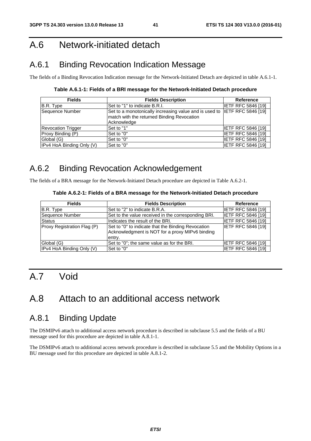## A.6 Network-initiated detach

## A.6.1 Binding Revocation Indication Message

The fields of a Binding Revocation Indication message for the Network-Initiated Detach are depicted in table A.6.1-1.

**Table A.6.1-1: Fields of a BRI message for the Network-Initiated Detach procedure** 

| <b>Fields</b>             | <b>Fields Description</b>                                                                                               | Reference                 |
|---------------------------|-------------------------------------------------------------------------------------------------------------------------|---------------------------|
| B.R. Type                 | Set to "1" to indicate B.R.I.                                                                                           | IETF RFC 5846 [19]        |
| Sequence Number           | Set to a monotonically increasing value and is used to IETF RFC 5846 [19]<br>match with the returned Binding Revocation |                           |
|                           | Acknowledge                                                                                                             |                           |
| <b>Revocation Trigger</b> | Set to "1"                                                                                                              | <b>IETF RFC 5846 [19]</b> |
| Proxy Binding (P)         | Set to "0"                                                                                                              | <b>IETF RFC 5846 [19]</b> |
| Global (G)                | Set to "0"                                                                                                              | <b>IETF RFC 5846 [19]</b> |
| IPv4 HoA Binding Only (V) | Set to "0"                                                                                                              | <b>IETF RFC 5846 [19]</b> |

## A.6.2 Binding Revocation Acknowledgement

The fields of a BRA message for the Network-Initiated Detach procedure are depicted in Table A.6.2-1.

#### **Table A.6.2-1: Fields of a BRA message for the Network-Initiated Detach procedure**

| <b>Fields</b>               | <b>Fields Description</b>                                                                                       | <b>Reference</b>          |
|-----------------------------|-----------------------------------------------------------------------------------------------------------------|---------------------------|
| B.R. Type                   | Set to "2" to indicate B.R.A.                                                                                   | <b>IETF RFC 5846 [19]</b> |
| Sequence Number             | Set to the value received in the corresponding BRI.                                                             | <b>IETF RFC 5846 [19]</b> |
| <b>Status</b>               | Indicates the result of the BRI.                                                                                | <b>IETF RFC 5846 [19]</b> |
| Proxy Registration Flag (P) | Set to "0" to indicate that the Binding Revocation<br>Acknowledgment is NOT for a proxy MIPv6 binding<br>entry. | <b>IETF RFC 5846 [19]</b> |
| Global (G)                  | Set to "0"; the same value as for the BRI.                                                                      | <b>IETF RFC 5846 [19]</b> |
| IPv4 HoA Binding Only (V)   | Set to "0"                                                                                                      | IETF RFC 5846 [19]        |

## A.7 Void

## A.8 Attach to an additional access network

### A.8.1 Binding Update

The DSMIPv6 attach to additional access network procedure is described in subclause 5.5 and the fields of a BU message used for this procedure are depicted in table A.8.1-1.

The DSMIPv6 attach to additional access network procedure is described in subclause 5.5 and the Mobility Options in a BU message used for this procedure are depicted in table A.8.1-2.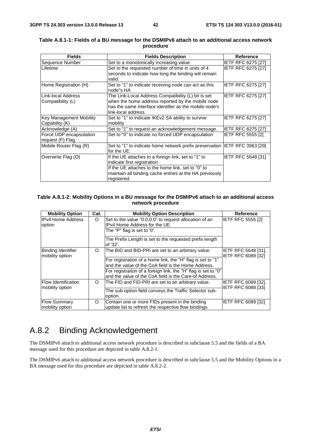| <b>Fields</b>           | <b>Fields Description</b>                                                   | <b>Reference</b>          |
|-------------------------|-----------------------------------------------------------------------------|---------------------------|
| Sequence Number         | Set to a monotonically increasing value.                                    | <b>IETF RFC 6275 [27]</b> |
| Lifetime                | Set to the requested number of time in units of 4                           | <b>IETF RFC 6275 [27]</b> |
|                         | seconds to indicate how long the binding will remain                        |                           |
|                         | valid.                                                                      |                           |
| Home Registration (H)   | Set to "1" to indicate receiving node can act as this                       | <b>IETF RFC 6275 [27]</b> |
|                         | node"s HA                                                                   |                           |
| Link-local Address      | The Link-Local Address Compatibility (L) bit is set                         | <b>IETF RFC 6275 [27]</b> |
| Compatibility (L)       | when the home address reported by the mobile node                           |                           |
|                         | has the same interface identifier as the mobile node's                      |                           |
|                         | link-local address.                                                         |                           |
| Key Management Mobility | Set to "1" to indicate IKEv2 SA ability to survive                          | <b>IETF RFC 6275 [27]</b> |
| Capability (K)          | mobility                                                                    |                           |
| Acknowledge (A)         | Set to "1" to request an acknowledgement message.                           | <b>IETF RFC 6275 [27]</b> |
| Force UDP encapsulation | Set to "0" to indicate no forced UDP encapsulation                          | <b>IETF RFC 5555 [2]</b>  |
| request (F) Flag        |                                                                             |                           |
| Mobile Router Flag (R)  | Set to "1" to indicate home network prefix preservation  IETF RFC 3963 [29] |                           |
|                         | for the UE.                                                                 |                           |
| Overwrite Flag (O)      | If the UE attaches to a foreign link, set to "1" to                         | <b>IETF RFC 5648 [31]</b> |
|                         | indicate first registration                                                 |                           |
|                         | If the UE attaches to the home link, set to "0" to                          |                           |
|                         | maintain all binding cache entries at the HA previously                     |                           |
|                         | registered.                                                                 |                           |

#### **Table A.8.1-1: Fields of a BU message for the DSMIPv6 attach to an additional access network procedure**

#### **Table A.8.1-2: Mobility Options in a BU message for the DSMIPv6 attach to an additional access network procedure**

| <b>Mobility Option</b>                        | Cat.     | <b>Mobility Option Description</b>                                  | <b>Reference</b>                          |
|-----------------------------------------------|----------|---------------------------------------------------------------------|-------------------------------------------|
| IIPv4 Home Address                            | O        | Set to the value "0.0.0.0" to request allocation of an              | <b>IETF RFC 5555 [2]</b>                  |
| option                                        |          | IPv4 Home Address for the UE.                                       |                                           |
|                                               |          | The "P" flag is set to '0'.                                         |                                           |
|                                               |          | The Prefix Length is set to the requested prefix length<br>of '32'. |                                           |
| <b>Binding Identifier</b><br>mobility option  | O        | The BID and BID-PRI are set to an arbitrary value.                  | IETF RFC 5648 [31],<br>IETF RFC 6089 [32] |
|                                               |          | For registration of a home link, the "H" flag is set to "1"         |                                           |
|                                               |          | and the value of the CoA field is the Home Address.                 |                                           |
|                                               |          | For registration of a foreign link, the "H" flag is set to "0"      |                                           |
|                                               |          | and the value of the CoA field is the Care-of Address.              |                                           |
| <b>Flow Identification</b><br>mobility option | $\Omega$ | The FID and FID-PRI are set to an arbitrary value.                  | IETF RFC 6089 [32].<br>IETF RFC 6088 [33] |
|                                               |          | The sub-option field conveys the Traffic Selector sub-              |                                           |
|                                               |          | option.                                                             |                                           |
| <b>Flow Summary</b>                           | O        | Contain one or more FIDs present in the binding                     | IETF RFC 6089 [32]                        |
| mobility option                               |          | update list to refresh the respective flow bindings.                |                                           |

## A.8.2 Binding Acknowledgement

The DSMIPv6 attach to additional access network procedure is described in subclause 5.5 and the fields of a BA message used for this procedure are depicted in table A.8.2-1.

The DSMIPv6 attach to additional access network procedure is described in subclause 5.5 and the Mobility Options in a BA message used for this procedure are depicted in table A.8.2-2.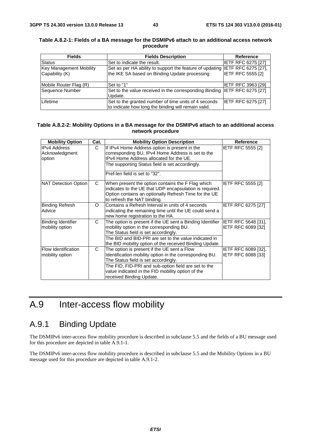| <b>Fields</b>                  | <b>Fields Description</b>                                                    | <b>Reference</b>          |
|--------------------------------|------------------------------------------------------------------------------|---------------------------|
| Status                         | Set to indicate the result.                                                  | <b>IETF RFC 6275 [27]</b> |
| <b>Key Management Mobility</b> | Set as per HA ability to support the feature of updating IETF RFC 6275 [27], |                           |
| Capability (K)                 | the IKE SA based on Binding Update processing                                | <b>IETF RFC 5555 [2]</b>  |
|                                |                                                                              |                           |
| Mobile Router Flag (R)         | Set to "1"                                                                   | IETF RFC 3963 [29]        |
| Sequence Number                | Set to the value received in the corresponding Binding IETF RFC 6275 [27]    |                           |
|                                | Update.                                                                      |                           |
| Lifetime                       | Set to the granted number of time units of 4 seconds                         | <b>IETF RFC 6275 [27]</b> |
|                                | to indicate how long the binding will remain valid.                          |                           |

#### **Table A.8.2-1: Fields of a BA message for the DSMIPv6 attach to an additional access network procedure**

#### **Table A.8.2-2: Mobility Options in a BA message for the DSMIPv6 attach to an additional access network procedure**

| <b>Mobility Option</b>                          | Cat.     | <b>Mobility Option Description</b>                                                                                                                                                                                                                                                      | <b>Reference</b>                          |
|-------------------------------------------------|----------|-----------------------------------------------------------------------------------------------------------------------------------------------------------------------------------------------------------------------------------------------------------------------------------------|-------------------------------------------|
| <b>IPv4 Address</b><br>Acknowledgment<br>option | C        | If IPv4 Home Address option is present in the<br>corresponding BU, IPv4 Home Address is set to the<br>IPv4 Home Address allocated for the UE.<br>The supporting Status field is set accordingly.<br>Pref-len field is set to "32".                                                      | <b>IETF RFC 5555 [2]</b>                  |
| NAT Detection Option                            | C        | When present the option contains the F Flag which<br>indicates to the UE that UDP encapsulation is required.<br>Option contains an optionally Refresh Time for the UE<br>to refresh the NAT binding.                                                                                    | <b>IETF RFC 5555 [2]</b>                  |
| <b>Binding Refresh</b><br>Advice                | $\Omega$ | Contains a Refresh Interval in units of 4 seconds<br>indicating the remaining time until the UE could send a<br>new home registration to the HA.                                                                                                                                        | <b>IETF RFC 6275 [27]</b>                 |
| Binding Identifier<br>mobility option           | C        | The option is present if the UE sent a Binding Identifier  IETF RFC 5648 [31],<br>mobility option in the corresponding BU.<br>The Status field is set accordingly.<br>The BID and BID-PRI are set to the value indicated in<br>the BID mobility option of the received Binding Update.  | IETF RFC 6089 [32]                        |
| <b>Flow Identification</b><br>mobility option   | C.       | The option is present if the UE sent a Flow<br>Identification mobility option in the corresponding BU.<br>The Status field is set accordingly.<br>The FID, FID-PRI and sub-option field are set to the<br>value indicated in the FID mobility option of the<br>received Binding Update. | IETF RFC 6089 [32],<br>IETF RFC 6088 [33] |

## A.9 Inter-access flow mobility

### A.9.1 Binding Update

The DSMIPv6 inter-access flow mobility procedure is described in subclause 5.5 and the fields of a BU message used for this procedure are depicted in table A.9.1-1.

The DSMIPv6 inter-access flow mobility procedure is described in subclause 5.5 and the Mobility Options in a BU message used for this procedure are depicted in table A.9.1-2.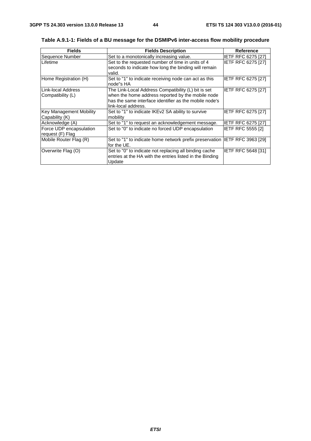| <b>Fields</b>                                    | <b>Fields Description</b>                                                                                                                                                                 | <b>Reference</b>          |
|--------------------------------------------------|-------------------------------------------------------------------------------------------------------------------------------------------------------------------------------------------|---------------------------|
| Sequence Number                                  | Set to a monotonically increasing value.                                                                                                                                                  | <b>IETF RFC 6275 [27]</b> |
| Lifetime                                         | Set to the requested number of time in units of 4<br>seconds to indicate how long the binding will remain<br>valid.                                                                       | <b>IETF RFC 6275 [27]</b> |
| Home Registration (H)                            | Set to "1" to indicate receiving node can act as this<br>node"s HA                                                                                                                        | <b>IETF RFC 6275 [27]</b> |
| Link-local Address<br>Compatibility (L)          | The Link-Local Address Compatibility (L) bit is set<br>when the home address reported by the mobile node<br>has the same interface identifier as the mobile node's<br>link-local address. | IETF RFC 6275 [27]        |
| <b>Key Management Mobility</b><br>Capability (K) | Set to "1" to indicate IKEv2 SA ability to survive<br>mobility                                                                                                                            | <b>IETF RFC 6275 [27]</b> |
| Acknowledge (A)                                  | Set to "1" to request an acknowledgement message.                                                                                                                                         | IETF RFC 6275 [27]        |
| Force UDP encapsulation<br>request (F) Flag      | Set to "0" to indicate no forced UDP encapsulation                                                                                                                                        | <b>IETF RFC 5555 [2]</b>  |
| Mobile Router Flag (R)                           | Set to "1" to indicate home network prefix preservation IIETF RFC 3963 [29]<br>for the UE.                                                                                                |                           |
| Overwrite Flag (O)                               | Set to "0" to indicate not replacing all binding cache<br>entries at the HA with the entries listed in the Binding<br>Update                                                              | IETF RFC 5648 [31]        |

**Table A.9.1-1: Fields of a BU message for the DSMIPv6 inter-access flow mobility procedure**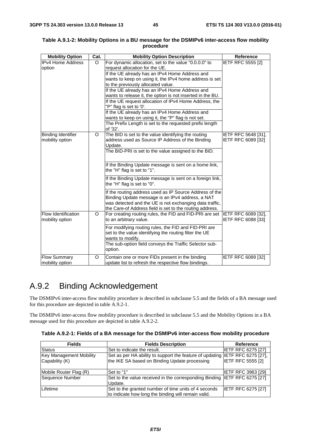| <b>Mobility Option</b>                 | Cat.    | <b>Mobility Option Description</b>                                                                                                                                                                                                 | <b>Reference</b>                          |
|----------------------------------------|---------|------------------------------------------------------------------------------------------------------------------------------------------------------------------------------------------------------------------------------------|-------------------------------------------|
| <b>IPv4 Home Address</b>               | O       | For dynamic allocation, set to the value "0.0.0.0" to                                                                                                                                                                              | <b>IETF RFC 5555 [2]</b>                  |
| option                                 |         | request allocation for the UE.                                                                                                                                                                                                     |                                           |
|                                        |         | If the UE already has an IPv4 Home Address and                                                                                                                                                                                     |                                           |
|                                        |         | wants to keep on using it, the IPv4 home address is set                                                                                                                                                                            |                                           |
|                                        |         | to the previously allocated value.                                                                                                                                                                                                 |                                           |
|                                        |         | If the UE already has an IPv4 Home Address and                                                                                                                                                                                     |                                           |
|                                        |         | wants to release it, the option is not inserted in the BU.                                                                                                                                                                         |                                           |
|                                        |         | If the UE request allocation of IPv4 Home Address, the                                                                                                                                                                             |                                           |
|                                        |         | "P" flag is set to '0'.                                                                                                                                                                                                            |                                           |
|                                        |         | If the UE already has an IPv4 Home Address and                                                                                                                                                                                     |                                           |
|                                        |         | wants to keep on using it, the "P" flag is not set.                                                                                                                                                                                |                                           |
|                                        |         | The Prefix Length is set to the requested prefix length<br>of '32'.                                                                                                                                                                |                                           |
| <b>Binding Identifier</b>              | $\circ$ | The BID is set to the value identifying the routing                                                                                                                                                                                | IETF RFC 5648 [31],                       |
| mobility option                        |         | address used as Source IP Address of the Binding                                                                                                                                                                                   | IETF RFC 6089 [32]                        |
|                                        |         | Update.                                                                                                                                                                                                                            |                                           |
|                                        |         | The BID-PRI is set to the value assigned to the BID.                                                                                                                                                                               |                                           |
|                                        |         |                                                                                                                                                                                                                                    |                                           |
|                                        |         | If the Binding Update message is sent on a home link,<br>the "H" flag is set to "1".                                                                                                                                               |                                           |
|                                        |         | If the Binding Update message is sent on a foreign link,<br>the "H" flag is set to "0".                                                                                                                                            |                                           |
|                                        |         | If the routing address used as IP Source Address of the<br>Binding Update message is an IPv4 address, a NAT<br>was detected and the UE is not exchanging data traffic,<br>the Care-of Address field is set to the routing address. |                                           |
| Flow Identification<br>mobility option | $\circ$ | For creating routing rules, the FID and FID-PRI are set<br>to an arbitrary value.                                                                                                                                                  | IETF RFC 6089 [32],<br>IETF RFC 6088 [33] |
|                                        |         | For modifying routing rules, the FID and FID-PRI are<br>set to the value identifying the routing filter the UE<br>wants to modify.                                                                                                 |                                           |
|                                        |         | The sub-option field conveys the Traffic Selector sub-<br>option.                                                                                                                                                                  |                                           |
| <b>Flow Summary</b><br>mobility option | $\circ$ | Contain one or more FIDs present in the binding<br>update list to refresh the respective flow bindings.                                                                                                                            | IETF RFC 6089 [32]                        |

#### **Table A.9.1-2: Mobility Options in a BU message for the DSMIPv6 inter-access flow mobility procedure**

## A.9.2 Binding Acknowledgement

The DSMIPv6 inter-access flow mobility procedure is described in subclause 5.5 and the fields of a BA message used for this procedure are depicted in table A.9.2-1.

The DSMIPv6 inter-access flow mobility procedure is described in subclause 5.5 and the Mobility Options in a BA message used for this procedure are depicted in table A.9.2-2.

|  |  | Table A.9.2-1: Fields of a BA message for the DSMIPv6 inter-access flow mobility procedure |
|--|--|--------------------------------------------------------------------------------------------|
|--|--|--------------------------------------------------------------------------------------------|

| <b>Fields</b>           | <b>Fields Description</b>                                                                                   | Reference                 |
|-------------------------|-------------------------------------------------------------------------------------------------------------|---------------------------|
| <b>Status</b>           | Set to indicate the result.                                                                                 | IETF RFC 6275 [27]        |
| Key Management Mobility | Set as per HA ability to support the feature of updating IETF RFC 6275 [27],                                |                           |
| Capability (K)          | the IKE SA based on Binding Update processing                                                               | <b>IETF RFC 5555 [2]</b>  |
| Mobile Router Flag (R)  | Set to "1"                                                                                                  | <b>IETF RFC 3963 [29]</b> |
| Sequence Number         | Set to the value received in the corresponding Binding IETF RFC 6275 [27]<br>Update.                        |                           |
| Lifetime                | Set to the granted number of time units of 4 seconds<br>to indicate how long the binding will remain valid. | <b>IETF RFC 6275 [27]</b> |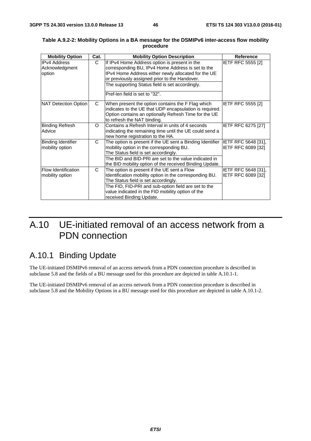| <b>Mobility Option</b>     | Cat. | <b>Mobility Option Description</b>                                                                 | <b>Reference</b>          |
|----------------------------|------|----------------------------------------------------------------------------------------------------|---------------------------|
| <b>IPv4 Address</b>        | C.   | If IPv4 Home Address option is present in the<br>corresponding BU, IPv4 Home Address is set to the | <b>IETF RFC 5555 [2]</b>  |
| Acknowledgment             |      | IPv4 Home Address either newly allocated for the UE                                                |                           |
| option                     |      |                                                                                                    |                           |
|                            |      | or previously assigned prior to the Handover.                                                      |                           |
|                            |      | The supporting Status field is set accordingly.                                                    |                           |
|                            |      | Pref-len field is set to "32".                                                                     |                           |
| NAT Detection Option       | C.   | When present the option contains the F Flag which                                                  | <b>IETF RFC 5555 [2]</b>  |
|                            |      | indicates to the UE that UDP encapsulation is required.                                            |                           |
|                            |      | Option contains an optionally Refresh Time for the UE                                              |                           |
|                            |      | to refresh the NAT binding.                                                                        |                           |
| <b>Binding Refresh</b>     | O    | Contains a Refresh Interval in units of 4 seconds                                                  | <b>IETF RFC 6275 [27]</b> |
| Advice                     |      | indicating the remaining time until the UE could send a                                            |                           |
|                            |      | new home registration to the HA.                                                                   |                           |
| <b>Binding Identifier</b>  | C.   | The option is present if the UE sent a Binding Identifier IETF RFC 5648 [31],                      |                           |
| mobility option            |      | mobility option in the corresponding BU.                                                           | IETF RFC 6089 [32]        |
|                            |      | The Status field is set accordingly.                                                               |                           |
|                            |      | The BID and BID-PRI are set to the value indicated in                                              |                           |
|                            |      | the BID mobility option of the received Binding Update.                                            |                           |
| <b>Flow Identification</b> | C    | The option is present if the UE sent a Flow                                                        | IETF RFC 5648 [31],       |
| mobility option            |      | Identification mobility option in the corresponding BU.                                            | IETF RFC 6089 [32]        |
|                            |      | The Status field is set accordingly.                                                               |                           |
|                            |      | The FID, FID-PRI and sub-option field are set to the                                               |                           |
|                            |      | value indicated in the FID mobility option of the                                                  |                           |
|                            |      | received Binding Update.                                                                           |                           |

#### **Table A.9.2-2: Mobility Options in a BA message for the DSMIPv6 inter-access flow mobility procedure**

## A.10 UE-initiated removal of an access network from a PDN connection

## A.10.1 Binding Update

The UE-initiated DSMIPv6 removal of an access network from a PDN connection procedure is described in subclause 5.8 and the fields of a BU message used for this procedure are depicted in table A.10.1-1.

The UE-initiated DSMIPv6 removal of an access network from a PDN connection procedure is described in subclause 5.8 and the Mobility Options in a BU message used for this procedure are depicted in table A.10.1-2.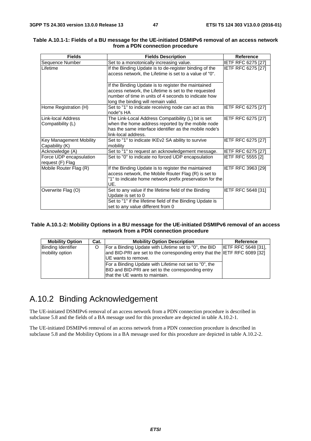| <b>Fields</b>                                    | <b>Fields Description</b>                                                                                                                                                                                  | <b>Reference</b>          |
|--------------------------------------------------|------------------------------------------------------------------------------------------------------------------------------------------------------------------------------------------------------------|---------------------------|
| Sequence Number                                  | Set to a monotonically increasing value.                                                                                                                                                                   | <b>IETF RFC 6275 [27]</b> |
| Lifetime                                         | If the Binding Update is to de-register binding of the<br>access network, the Lifetime is set to a value of "0".                                                                                           | IETF RFC 6275 [27]        |
|                                                  | If the Binding Update is to register the maintained<br>access network, the Lifetime is set to the requested<br>number of time in units of 4 seconds to indicate how<br>long the binding will remain valid. |                           |
| Home Registration (H)                            | Set to "1" to indicate receiving node can act as this<br>node"s HA                                                                                                                                         | IETF RFC 6275 [27]        |
| Link-local Address<br>Compatibility (L)          | The Link-Local Address Compatibility (L) bit is set<br>when the home address reported by the mobile node<br>has the same interface identifier as the mobile node's<br>link-local address.                  | IETF RFC 6275 [27]        |
| <b>Key Management Mobility</b><br>Capability (K) | Set to "1" to indicate IKEv2 SA ability to survive<br>mobility                                                                                                                                             | <b>IETF RFC 6275 [27]</b> |
| Acknowledge (A)                                  | Set to "1" to request an acknowledgement message.                                                                                                                                                          | <b>IETF RFC 6275 [27]</b> |
| Force UDP encapsulation<br>request (F) Flag      | Set to "0" to indicate no forced UDP encapsulation                                                                                                                                                         | IETF RFC 5555 [2]         |
| Mobile Router Flag (R)                           | If the Binding Update is to register the maintained<br>access network, the Mobile Router Flag (R) is set to<br>"1" to indicate home network prefix preservation for the<br>UE.                             | IETF RFC 3963 [29]        |
| Overwrite Flag (O)                               | Set to any value if the lifetime field of the Binding<br>Update is set to 0<br>Set to "1" if the lifetime field of the Binding Update is<br>set to any value different from 0                              | <b>IETF RFC 5648 [31]</b> |

#### **Table A.10.1-1: Fields of a BU message for the UE-initiated DSMIPv6 removal of an access network from a PDN connection procedure**

#### **Table A.10.1-2: Mobility Options in a BU message for the UE-initiated DSMIPv6 removal of an access network from a PDN connection procedure**

| <b>Mobility Option</b>    | Cat. | <b>Mobility Option Description</b>                                         | Reference                  |
|---------------------------|------|----------------------------------------------------------------------------|----------------------------|
| <b>Binding Identifier</b> |      | For a Binding Update with Lifetime set to "0", the BID                     | <b>IETF RFC 5648 [31].</b> |
| mobility option           |      | and BID-PRI are set to the corresponding entry that the IETF RFC 6089 [32] |                            |
|                           |      | <b>IUE</b> wants to remove.                                                |                            |
|                           |      | For a Binding Update with Lifetime not set to "0", the                     |                            |
|                           |      | BID and BID-PRI are set to the corresponding entry                         |                            |
|                           |      | that the UE wants to maintain.                                             |                            |

## A.10.2 Binding Acknowledgement

The UE-initiated DSMIPv6 removal of an access network from a PDN connection procedure is described in subclause 5.8 and the fields of a BA message used for this procedure are depicted in table A.10.2-1.

The UE-initiated DSMIPv6 removal of an access network from a PDN connection procedure is described in subclause 5.8 and the Mobility Options in a BA message used for this procedure are depicted in table A.10.2-2.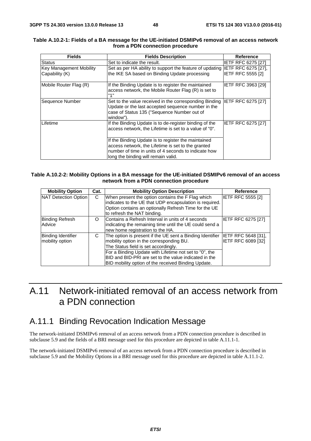| <b>Fields</b>           | <b>Fields Description</b>                                                                                                                                                                                | Reference                 |
|-------------------------|----------------------------------------------------------------------------------------------------------------------------------------------------------------------------------------------------------|---------------------------|
| <b>Status</b>           | Set to indicate the result.                                                                                                                                                                              | <b>IETF RFC 6275 [27]</b> |
| Key Management Mobility | Set as per HA ability to support the feature of updating IETF RFC 6275 [27],                                                                                                                             |                           |
| Capability (K)          | the IKE SA based on Binding Update processing                                                                                                                                                            | <b>IETF RFC 5555 [2]</b>  |
| Mobile Router Flag (R)  | If the Binding Update is to register the maintained<br>access network, the Mobile Router Flag (R) is set to<br>"1"                                                                                       | IETF RFC 3963 [29]        |
| Sequence Number         | Set to the value received in the corresponding Binding IETF RFC 6275 [27]<br>Update or the last accepted sequence number in the<br>case of Status 135 ("Sequence Number out of<br>window").              |                           |
| Lifetime                | If the Binding Update is to de-register binding of the<br>access network, the Lifetime is set to a value of "0".                                                                                         | IETF RFC 6275 [27]        |
|                         | If the Binding Update is to register the maintained<br>access network, the Lifetime is set to the granted<br>number of time in units of 4 seconds to indicate how<br>long the binding will remain valid. |                           |

#### **Table A.10.2-1: Fields of a BA message for the UE-initiated DSMIPv6 removal of an access network from a PDN connection procedure**

#### **Table A.10.2-2: Mobility Options in a BA message for the UE-initiated DSMIPv6 removal of an access network from a PDN connection procedure**

| <b>Mobility Option</b>                       | Cat. | <b>Mobility Option Description</b>                                                                                                                                                                                                                                                                                      | Reference                                 |
|----------------------------------------------|------|-------------------------------------------------------------------------------------------------------------------------------------------------------------------------------------------------------------------------------------------------------------------------------------------------------------------------|-------------------------------------------|
| NAT Detection Option                         | C    | When present the option contains the F Flag which<br>indicates to the UE that UDP encapsulation is required.<br>Option contains an optionally Refresh Time for the UE<br>to refresh the NAT binding.                                                                                                                    | <b>IETF RFC 5555 [2]</b>                  |
| <b>Binding Refresh</b><br>Advice             | O    | Contains a Refresh Interval in units of 4 seconds<br>indicating the remaining time until the UE could send a<br>new home registration to the HA.                                                                                                                                                                        | <b>IETF RFC 6275 [27]</b>                 |
| <b>Binding Identifier</b><br>mobility option | C    | The option is present if the UE sent a Binding Identifier<br>mobility option in the corresponding BU.<br>The Status field is set accordingly.<br>For a Binding Update with Lifetime not set to "0", the<br>BID and BID-PRI are set to the value indicated in the<br>BID mobility option of the received Binding Update. | IETF RFC 5648 [31],<br>IETF RFC 6089 [32] |

## A.11 Network-initiated removal of an access network from a PDN connection

### A.11.1 Binding Revocation Indication Message

The network-initiated DSMIPv6 removal of an access network from a PDN connection procedure is described in subclause 5.9 and the fields of a BRI message used for this procedure are depicted in table A.11.1-1.

The network-initiated DSMIPv6 removal of an access network from a PDN connection procedure is described in subclause 5.9 and the Mobility Options in a BRI message used for this procedure are depicted in table A.11.1-2.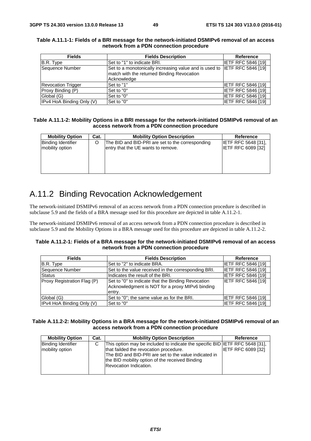| <b>Fields</b>             | <b>Fields Description</b>                                                 | <b>Reference</b>          |
|---------------------------|---------------------------------------------------------------------------|---------------------------|
| B.R. Type                 | ISet to "1" to indicate BRI.                                              | <b>IETF RFC 5846 [19]</b> |
| Sequence Number           | Set to a monotonically increasing value and is used to IETF RFC 5846 [19] |                           |
|                           | match with the returned Binding Revocation                                |                           |
|                           | Acknowledge                                                               |                           |
| <b>Revocation Trigger</b> | Set to "1"                                                                | <b>IETF RFC 5846 [19]</b> |
| Proxy Binding (P)         | Set to "0"                                                                | <b>IETF RFC 5846 [19]</b> |
| Global (G)                | Set to "0"                                                                | <b>IETF RFC 5846 [19]</b> |
| IPv4 HoA Binding Only (V) | Set to "0"                                                                | <b>IETF RFC 5846 [19]</b> |

#### **Table A.11.1-1: Fields of a BRI message for the network-initiated DSMIPv6 removal of an access network from a PDN connection procedure**

#### **Table A.11.1-2: Mobility Options in a BRI message for the network-initiated DSMIPv6 removal of an access network from a PDN connection procedure**

| <b>Mobility Option</b>    | Cat. | <b>Mobility Option Description</b>               | Reference                  |
|---------------------------|------|--------------------------------------------------|----------------------------|
| <b>Binding Identifier</b> |      | The BID and BID-PRI are set to the corresponding | <b>IETF RFC 5648 [31].</b> |
| mobility option           |      | entry that the UE wants to remove.               | <b>IETF RFC 6089 [32]</b>  |
|                           |      |                                                  |                            |
|                           |      |                                                  |                            |
|                           |      |                                                  |                            |
|                           |      |                                                  |                            |

## A.11.2 Binding Revocation Acknowledgement

The network-initiated DSMIPv6 removal of an access network from a PDN connection procedure is described in subclause 5.9 and the fields of a BRA message used for this procedure are depicted in table A.11.2-1.

The network-initiated DSMIPv6 removal of an access network from a PDN connection procedure is described in subclause 5.9 and the Mobility Options in a BRA message used for this procedure are depicted in table A.11.2-2.

#### **Table A.11.2-1: Fields of a BRA message for the network-initiated DSMIPv6 removal of an access network from a PDN connection procedure**

| <b>Fields</b>               | <b>Fields Description</b>                                                                                       | <b>Reference</b>          |
|-----------------------------|-----------------------------------------------------------------------------------------------------------------|---------------------------|
| B.R. Type                   | Set to "2" to indicate BRA.                                                                                     | <b>IETF RFC 5846 [19]</b> |
| Sequence Number             | Set to the value received in the corresponding BRI.                                                             | <b>IETF RFC 5846 [19]</b> |
| <b>Status</b>               | Indicates the result of the BRI.                                                                                | <b>IETF RFC 5846 [19]</b> |
| Proxy Registration Flag (P) | Set to "0" to indicate that the Binding Revocation<br>Acknowledgment is NOT for a proxy MIPv6 binding<br>entry. | <b>IETF RFC 5846 [19]</b> |
| Global (G)                  | Set to "0"; the same value as for the BRI.                                                                      | <b>IETF RFC 5846 [19]</b> |
| IPv4 HoA Binding Only (V)   | Set to "0"                                                                                                      | <b>IETF RFC 5846 [19]</b> |

#### **Table A.11.2-2: Mobility Options in a BRA message for the network-initiated DSMIPv6 removal of an access network from a PDN connection procedure**

| <b>Mobility Option</b>                       | Cat. | <b>Mobility Option Description</b>                                                                                                                                                                                                                                  | <b>Reference</b>          |
|----------------------------------------------|------|---------------------------------------------------------------------------------------------------------------------------------------------------------------------------------------------------------------------------------------------------------------------|---------------------------|
| <b>Binding Identifier</b><br>mobility option | C    | This option may be included to indicate the specific BID IETF RFC 5648 [31],<br>that failded the revocation procedure.<br>The BID and BID-PRI are set to the value indicated in<br>the BID mobility option of the received Binding<br><b>Revocation Indication.</b> | <b>IETF RFC 6089 [32]</b> |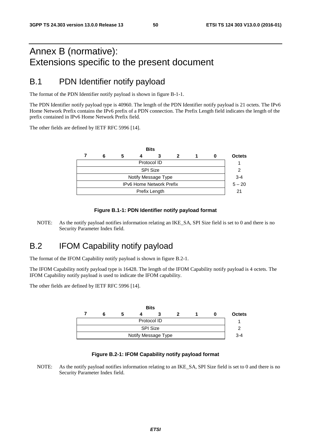## Annex B (normative): Extensions specific to the present document

### B.1 PDN Identifier notify payload

The format of the PDN Identifier notify payload is shown in figure B-1-1.

The PDN Identifier notify payload type is 40960. The length of the PDN Identifier notify payload is 21 octets. The IPv6 Home Network Prefix contains the IPv6 prefix of a PDN connection. The Prefix Length field indicates the length of the prefix contained in IPv6 Home Network Prefix field.

The other fields are defined by IETF RFC 5996 [14].

|                                 |   |   |  | <b>Bits</b> |   |  |          |               |
|---------------------------------|---|---|--|-------------|---|--|----------|---------------|
|                                 | 6 | 5 |  |             | 2 |  |          | <b>Octets</b> |
| Protocol ID                     |   |   |  |             |   |  |          |               |
| <b>SPI Size</b>                 |   |   |  |             |   |  |          |               |
| Notify Message Type             |   |   |  |             |   |  |          | $3 - 4$       |
| <b>IPv6 Home Network Prefix</b> |   |   |  |             |   |  | $5 - 20$ |               |
| Prefix Length                   |   |   |  |             |   |  |          |               |
|                                 |   |   |  |             |   |  |          |               |

#### **Figure B.1-1: PDN Identifier notify payload format**

NOTE: As the notify payload notifies information relating an IKE\_SA, SPI Size field is set to 0 and there is no Security Parameter Index field.

### B.2 IFOM Capability notify payload

The format of the IFOM Capability notify payload is shown in figure B.2-1.

The IFOM Capability notify payload type is 16428. The length of the IFOM Capability notify payload is 4 octets. The IFOM Capability notify payload is used to indicate the IFOM capability.

The other fields are defined by IETF RFC 5996 [14].



#### **Figure B.2-1: IFOM Capability notify payload format**

NOTE: As the notify payload notifies information relating to an IKE\_SA, SPI Size field is set to 0 and there is no Security Parameter Index field.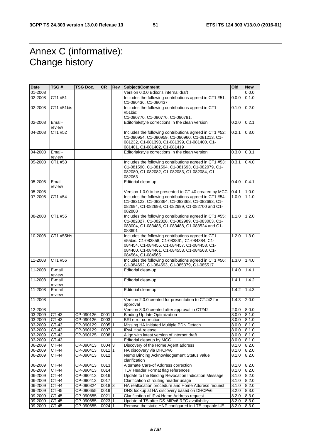## Annex C (informative): Change history

| Date               | TSG #            | TSG Doc.                     | <b>CR</b>          | Rev | Subject/Comment                                                                                                                                                         | Old            | <b>New</b>     |
|--------------------|------------------|------------------------------|--------------------|-----|-------------------------------------------------------------------------------------------------------------------------------------------------------------------------|----------------|----------------|
| 01-2008            |                  |                              |                    |     | Version 0.0.0 Editor's internal draft                                                                                                                                   |                | 0.0.0          |
| 02-2008            | CT1 #51          |                              |                    |     | Includes the following contributions agreed in CT1 #51:<br>C1-080436, C1-080437                                                                                         | 0.0.0          | 0.1.0          |
| 02-2008            | CT1 #51bis       |                              |                    |     | Includes the following contributions agreed in CT1<br>#51bis:                                                                                                           | 0.1.0          | 0.2.0          |
|                    |                  |                              |                    |     | C1-080770, C1-080776, C1-080791.                                                                                                                                        |                |                |
| 02-2008            | Email-<br>review |                              |                    |     | Editorial/style corrections in the clean version                                                                                                                        | 0.2.0          | 0.2.1          |
| 04-2008            | CT1 #52          |                              |                    |     | Includes the following contributions agreed in CT1 #52:                                                                                                                 | 0.2.1          | 0.3.0          |
|                    |                  |                              |                    |     | C1-080954, C1-080959, C1-080960, C1-081213, C1-<br>081232, C1-081398, C1-081399, C1-081400, C1-<br>081401, C1-081402, C1-081419                                         |                |                |
| 04-2008            | Email-           |                              |                    |     | Editorial/style corrections in the clean version                                                                                                                        | 0.3.0          | 0.3.1          |
|                    | review           |                              |                    |     |                                                                                                                                                                         |                |                |
| 05-2008            | CT1 #53          |                              |                    |     | Includes the following contributions agreed in CT1 #53:                                                                                                                 | 0.3.1          | 0.4.0          |
|                    |                  |                              |                    |     | C1-081590, C1-081594, C1-081693, C1-082079, C1-<br>082080, C1-082082, C1-082083, C1-082084, C1-<br>082063                                                               |                |                |
| 05-2008            | Email-           |                              |                    |     | Editorial clean-up                                                                                                                                                      | 0.4.0          | 0.4.1          |
|                    | review           |                              |                    |     |                                                                                                                                                                         |                |                |
| 05-2008            |                  |                              |                    |     | Version 1.0.0 to be presented to CT-40 created by MCC                                                                                                                   | 0.4.1          | 1.0.0          |
| 07-2008            | CT1 #54          |                              |                    |     | Includes the following contributions agreed in CT1 #54:<br>C1-082122, C1-082364, C1-082368, C1-082693, C1-<br>082694, C1-082698, C1-082699, C1-082700 and C1-<br>082808 | 1.0.0          | 1.1.0          |
| 08-2008            | CT1 #55          |                              |                    |     | Includes the following contributions agreed in CT1 #55:                                                                                                                 | 1.1.0          | 1.2.0          |
|                    |                  |                              |                    |     | C1-082827, C1-082828, C1-082989, C1-083003, C1-                                                                                                                         |                |                |
|                    |                  |                              |                    |     | 083004, C1-083486, C1-083488, C1-083524 and C1-                                                                                                                         |                |                |
| 10-2008            | CT1 #55bis       |                              |                    |     | 083601<br>Includes the following contributions agreed in CT1                                                                                                            | 1.2.0          | 1.3.0          |
|                    |                  |                              |                    |     | #55bis: C1-083858, C1-083861, C1-084384, C1-                                                                                                                            |                |                |
|                    |                  |                              |                    |     | 084454, C1-084455, C1-084457, C1-084458, C1-                                                                                                                            |                |                |
|                    |                  |                              |                    |     | 084460, C1-084461, C1-084553, C1-084563, C1-                                                                                                                            |                |                |
|                    |                  |                              |                    |     | 084564, C1-084565                                                                                                                                                       |                |                |
| 11-2008            | CT1 #56          |                              |                    |     | Includes the following contributions agreed in CT1 #56:                                                                                                                 | 1.3.0          | 1.4.0          |
|                    |                  |                              |                    |     | C1-084692, C1-084693, C1-085379, C1-085517                                                                                                                              |                |                |
| 11-2008            | E-mail<br>review |                              |                    |     | Editorial clean-up                                                                                                                                                      | 1.4.0          | 1.4.1          |
| 11-2008            | E-mail           |                              |                    |     | Editorial clean-up                                                                                                                                                      | 1.4.1          | 1.4.2          |
|                    | review           |                              |                    |     |                                                                                                                                                                         |                |                |
| 11-2008            | E-mail           |                              |                    |     | Editorial clean-up                                                                                                                                                      | 1.4.2          | 1.4.3          |
|                    | review           |                              |                    |     |                                                                                                                                                                         |                |                |
| 11-2008            |                  |                              |                    |     | Version 2.0.0 created for presentation to CT#42 for                                                                                                                     | 1.4.3          | 2.0.0          |
|                    |                  |                              |                    |     | approval                                                                                                                                                                |                |                |
| 12-2008<br>03-2009 | CT-43            |                              | 000111             |     | Version 8.0.0 created after approval in CT#42<br><b>Binding Update Optimization</b>                                                                                     | 2.0.0<br>8.0.0 | 8.0.0<br>8.1.0 |
| 03-2009            | $CT-43$          | CP-090126<br>CP-090126 10003 |                    |     | <b>BRI</b> error correction                                                                                                                                             | 8.0.0 8.1.0    |                |
| 03-2009            | CT-43            | CP-090129                    | $0005\overline{1}$ |     | Missing HA Initiated Multiple PDN Detach                                                                                                                                | 8.0.0          | 8.1.0          |
| 03-2009            | CT-43            | CP-090129                    | 0007               |     | IPv4 HoA release                                                                                                                                                        | 8.0.0          | 8.1.0          |
| 03-2009            | CT-43            | CP-090125                    | 0008 1             |     | Align with latest version of internet draft                                                                                                                             | 8.0.0          | 8.1.0          |
| 03-2009            | CT-43            |                              |                    |     | Editorial cleanup by MCC                                                                                                                                                | 8.0.0          | 8.1.0          |
| 06-2009            | CT-44            | CP-090413                    | 00043              |     | Discovery of the Home Agent address                                                                                                                                     | 8.1.0          | 8.2.0          |
| 06-2009            | CT-44            | CP-090413                    | 0011 1             |     | HA discovery via DHCPv6                                                                                                                                                 | 8.1.0          | 8.2.0          |
| 06-2009            | <b>CT-44</b>     | CP-090413                    | 0012               |     | Nemo Binding Acknowledgement Status value                                                                                                                               | 8.1.0          | 8.2.0          |
|                    |                  |                              |                    |     | clarification                                                                                                                                                           |                |                |
| 06-2009            | CT-44            | CP-090413                    | 0013               |     | Alternate Care-of Address correction                                                                                                                                    | 8.1.0          | 8.2.0          |
| 06-2009            | CT-44            | CP-090413                    | 0014               |     | TLV Header Format flag references                                                                                                                                       | 8.1.0          | $\sqrt{8.2.0}$ |
| 06-2009            | CT-44            | CP-090413                    | 0016               |     | Update to the Binding Revocation Indication Message                                                                                                                     | 8.1.0          | 8.2.0          |
| 06-2009<br>06-2009 | CT-44<br>$CT-44$ | CP-090413                    | 0017               |     | Clarification of routing header usage                                                                                                                                   | 8.1.0          | 8.2.0          |
| 09-2009            | CT-45            | CP-090324                    | 00183<br>0019      |     | HA reallocation procedure and Home Address request                                                                                                                      | 8.1.0<br>8.2.0 | 8.2.0          |
| 09-2009            | CT-45            | CP-090655<br>CP-090655       | 002111             |     | DNS lookup at HA discovery based on DHCPv6<br>Clarification of IPv4 Home Address request                                                                                | 8.2.0          | 8.3.0<br>8.3.0 |
| 09-2009            | CT-45            | CP-090655                    | 0023 1             |     | Update of TS after DS-MIPv6 RFC availability                                                                                                                            | 8.2.0          | 8.3.0          |
| 09-2009            | CT-45            | CP-090655                    | $0024$ 1           |     | Remove the static HNP configured in LTE capable UE                                                                                                                      | 8.2.0          | 8.3.0          |
|                    |                  |                              |                    |     |                                                                                                                                                                         |                |                |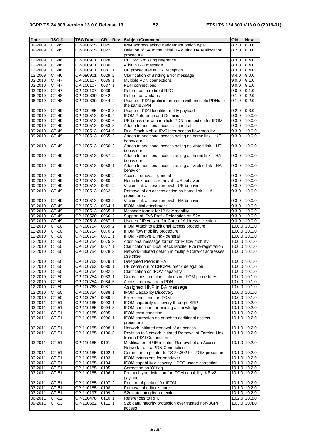| <b>Date</b>        | TSG#         | <b>TSG Doc.</b>        | <b>CR</b>           | Rev | Subject/Comment                                                                    | Old   | <b>New</b>      |
|--------------------|--------------|------------------------|---------------------|-----|------------------------------------------------------------------------------------|-------|-----------------|
| 09-2009            | CT-45        | CP-090655              | 0025                |     | IPv4 address acknowledgement option type                                           | 8.2.0 | 8.3.0           |
| 09-2009            | $CT-45$      | CP-090655              | 0027                |     | Deletion of SA to the initial HA during HA reallocation                            | 8.2.0 | 8.3.0           |
|                    |              |                        |                     |     | procedure                                                                          |       |                 |
| 12-2009            | CT-46        | CP-090901<br>CP-090901 | 0028<br>0030        |     | RFC5555 missing reference                                                          | 8.3.0 | 8.4.0           |
| 12-2009            | CT-46        |                        |                     |     | A bit in BRI message                                                               | 8.3.0 | 8.4.0           |
| 12-2009            | CT-46        | CP-090901              | 0031 1              |     | UE procedures at BRI reception                                                     | 8.3.0 | 8.4.0           |
| 12-2009            | $CT-46$      | CP-090901              | $0029$ <sub>2</sub> |     | Clarification of Binding Error message                                             | 8.4.0 | 9.0.0           |
| 03-2010            | CT-47        | CP-100107              | $0035$ 1            |     | Multiple PDN connections                                                           | 9.0.0 | 9.1.0           |
| 03-2010            | CT-47        | CP-100107              | 0037 1              |     | PDN connections                                                                    | 9.0.0 | 9.1.0           |
| 03-2010            | CT-47        | CP-100107              | 0039                |     | Reference to redirect RFC                                                          | 9.0.0 | 9.1.0           |
| 06-2010            | CT-48        | CP-100339              | 0042                |     | Reference Updates                                                                  | 9.1.0 | 9.2.0           |
| 06-2010            | <b>CT-48</b> | CP-100339              | $0044$ 2            |     | Usage of PDN prefix information with multiple PDNs to<br>the same APN              | 9.1.0 | 9.2.0           |
| 09-2010            | CT-49        | CP-100485              | $0048$ <sub>3</sub> |     | Usage of PDN Identifier notify payload                                             | 9.2.0 | 9.3.0           |
| 09-2010            | CT-49        | CP-100513              | $0049$ <sup>4</sup> |     | IFOM Reference and Definitions                                                     | 9.3.0 | 10.0.0          |
| 09-2010            | CT-49        | CP-100513              | 0050 6              |     | UE behaviour with multiple PDN connection for IFOM                                 | 9.3.0 | 10.0.0          |
| 09-2010            | CT-49        | CP-100513              | 0053 3              |     | Attach to additional access - general                                              | 9.3.0 | 10.0.0          |
| 09-2010            | CT-49        | CP-100513              | 0054 5              |     | Dual Stack Mobile IPv6 inter-access flow mobility                                  | 9.3.0 | 10.0.0          |
| 09-2010            | $CT-49$      | CP-100513              | $0055$ 2            |     | Attach to additional access acting as home link - UE<br>behaviour                  | 9.3.0 | 10.0.0          |
| 09-2010            | CT-49        | CP-100513              | 0056 2              |     | Attach to additional access acting as visted link - UE                             | 9.3.0 | 10.0.0          |
| 09-2010            | $CT-49$      | CP-100513              | $0057$ 2            |     | behaviour<br>Attach to additional access acting as home link - HA                  | 9.3.0 | 10.0.0          |
| 09-2010            | CT-49        | CP-100513              | 0058 1              |     | behaviour<br>Attach to additional access acting as visited link - HA               | 9.3.0 | 10.0.0          |
|                    |              |                        |                     |     | behavior                                                                           |       |                 |
| 09-2010            | CT-49        | CP-100513              | 0059 2              |     | Access removal - general                                                           | 9.3.0 | 10.0.0          |
| 09-2010            | CT-49        | CP-100513              | 0060                |     | Home link access removal - UE behavior                                             | 9.3.0 | 10.0.0          |
| 09-2010            | $CT-49$      | CP-100513              | 0061 2              |     | Visited link access removal - UE behavior                                          | 9.3.0 | 10.0.0          |
| 09-2010            | CT-49        | CP-100513              | 0062                |     | Removal of an access acting as home link - HA<br>procedures                        | 9.3.0 | 10.0.0          |
| 09-2010            | CT-49        | CP-100513              | 0063 2              |     | Visited link access removal - HA behavior                                          | 9.3.0 | 10.0.0          |
| 09-2010            | CT-49        | CP-100513              | 0064 1              |     | IFOM initial attachment                                                            | 9.3.0 | 10.0.0          |
| 09-2010            | CT-49        | CP-100513              | 0065 1              |     | Message format for IP flow mobility                                                | 9.3.0 | 10.0.0          |
| 09-2010            | CT-49        | CP-100520              | 0066 2              |     | Support of IPv6 Prefix Delegation on S2c                                           | 9.3.0 | 10.0.0          |
| 09-2010            | CT-49        | CP-100518              | 0067 1              |     | Usage of IP version for Care-of Address selection                                  | 9.3.0 | 10.0.0          |
| 12-2010            | $CT-50$      | CP-100754              | 0069 2              |     | IFOM Attach to additional access procedure                                         |       | 10.0.0 10.1.0   |
| 12-2010            | CT-50        | CP-100754              | 0070 2              |     | IFOM flow mobility procedure                                                       |       | 10.0.0 10.1.0   |
| 12-2010            | CT-50        | CP-100754              | $0071$ 1            |     | IFOM Remove a link - general                                                       |       | 10.0.0 10.1.0   |
| 12-2010            | CT-50        | CP-100754              | 0075 3              |     | Additional message format for IP flow mobility                                     |       | 10.0.0 10.1.0   |
| 12-2010            | CT-50        | CP-100754              | 00771               |     | Clarification on Dual Stack Mobile IPv6 re-registration                            |       | 10.0.0 10.1.0   |
| 12-2010            | CT-50        | CP-100754              | 0078 3              |     | Network-initiated detach in multiple Care-of addresses                             |       | 10.0.0 10.1.0   |
|                    |              |                        |                     |     | use case                                                                           |       |                 |
| 12-2010            | CT-50        | CP-100763              | 0079 1              |     | Delegated Prefix in HA                                                             |       | 10.0.0 10.1.0   |
| 12-2010            | CT-50        | CP-100763              | 0080 1              |     | UE behaviour of DHCPv6 prefix delegation                                           |       | 10.0.0 10.1.0   |
| $12 - 2010$        | $CT-50$      | CP-100754              | $0082$ <sub>2</sub> |     | Clarification on IFOM capability                                                   |       | $10.0.0$ 10.1.0 |
| 12-2010            | $CT-50$      | CP-100754              | $0083$ 1            |     | Corrections and clarifications on IFOM procedures                                  |       | 10.0.0 10.1.0   |
| $12 - 2010$        | CT-50        | CP-100754              | 0084 5              |     | Access removal from PDN                                                            |       | 10.0.0 10.1.0   |
| 12-2010            | CT-50        | CP-100763              | 0087                |     | Assigned HNP in BA message                                                         |       | 10.0.0 10.1.0   |
| 12-2010            | $CT-50$      | CP-100754              | 008811              |     | <b>IFOM Capability Discovery</b>                                                   |       | 10.0.0 10.1.0   |
| 12-2010            | CT-50        | CP-100754              | $0089$ <sub>2</sub> |     | Error conditions for IFOM                                                          |       | 10.0.0 10.1.0   |
| 03-2011            | CT-51        | CP-110185              | 0093 1              |     | IFOM capability discovery through ISRP                                             |       | 10.1.0 10.2.0   |
| 03-2011            | CT-51        | CP-110185              | $0094$ 3            |     | IFOM condition for binding acknowledge                                             |       | $10.1.0$ 10.2.0 |
| 03-2011            | CT-51        | CP-110185              | 0095                |     | IFOM error condition                                                               |       | 10.1.0 10.2.0   |
| 03-2011            | CT-51        | CP-110185              | 0096 1              |     | IFOM correction on attach to additional access                                     |       | 10.1.0 10.2.0   |
|                    |              |                        |                     |     | procedure                                                                          |       |                 |
| 03-2011<br>03-2011 | CT-51        | CP-110185              | 0098 1              |     | Network-initiated removal of an access                                             |       | 10.1.0 10.2.0   |
|                    | $CT-51$      | CP-110185              | 0100 3              |     | Revision to Network-initiated Removal of Foreign Link<br>from a PDN Connection     |       | 10.1.0 10.2.0   |
| 03-2011            | CT-51        | CP-110185              | 0101                |     | Modification of UE-initiated Removal of an Access<br>Network from a PDN Connection |       | 10.1.0 10.2.0   |
| 03-2011            | CT-51        | CP-110185              | $0102$ 1            |     | Correction to pointer to TS 24.302 for IFOM procedure                              |       | 10.1.0 10.2.0   |
| 03-2011            | CT-51        | CP-110185              | 0103                |     | IFOM extensions for handover                                                       |       | 10.1.0 10.2.0   |
| 03-2011            | $CT-51$      | CP-110185              | 0104                |     | IFOM capability discovery - PCO usage correction                                   |       | 10.1.0 10.2.0   |
| 03-2011            | CT-51        | CP-110185              | 0105                |     | Correction on 'O' flag                                                             |       | $10.1.0$ 10.2.0 |
| 03-2011            | CT-51        | CP-110185              | $0106$ 1            |     | Protocol type definition for IFOM capability IKE-v2                                |       | 10.1.0 10.2.0   |
| 03-2011            | CT-51        | CP-110185              | $0107$  2           |     | payload<br>Routing of packets for IFOM                                             |       | 10.1.0 10.2.0   |
| 03-2011            | CT-51        | CP-110185              | 0108                |     | Removal of editor"s note                                                           |       | 10.1.0 10.2.0   |
| 03-2011            | CT-51        | CP-110197              | 0109 2              |     | S2c data integrity protection                                                      |       | 10.1.0 10.2.0   |
|                    |              |                        |                     |     | References to RFC                                                                  |       |                 |
| 06-2011            | CT-52        | CP-110478              | 0110 1              |     | S2c data integrity protection over trusted non-3GPP                                |       | 10.2.0 10.3.0   |
| 09-2011            | CT-53        | CP-110682              | 0111 1              |     | access                                                                             |       | 10.3.0 10.4.0   |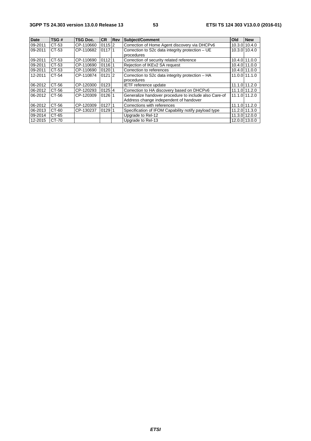| <b>Date</b> | TSG#  | <b>TSG Doc.</b> | <b>CR</b> | <b>Rev</b> | <b>Subject/Comment</b>                                | Old    | <b>New</b>      |
|-------------|-------|-----------------|-----------|------------|-------------------------------------------------------|--------|-----------------|
| 09-2011     | CT-53 | CP-110660       | 0115 2    |            | Correction of Home Agent discovery via DHCPv6         |        | 10.3.0 10.4.0   |
| 09-2011     | CT-53 | CP-110682       | 011711    |            | Correction to S2c data integrity protection - UE      |        | 10.3.0 10.4.0   |
|             |       |                 |           |            | procedures                                            |        |                 |
| 09-2011     | CT-53 | CP-110690       | $0112$  1 |            | Correction of security related reference              |        | 10.4.0 11.0.0   |
| 09-2011     | CT-53 | CP-110690       | 01161     |            | Rejection of IKEv2 SA request                         |        | 10.4.0 11.0.0   |
| 09-2011     | CT-53 | CP-110690       | 01201     |            | Correction to references                              |        | 10.4.0 11.0.0   |
| 12-2011     | CT-54 | CP-110874       | $0121$  2 |            | Correction to S2c data integrity protection - HA      |        | 11.0.0 11.1.0   |
|             |       |                 |           |            | procedures                                            |        |                 |
| 06-2012     | CT-56 | CP-120300       | 0123      |            | IETF reference update                                 |        | 11.1.0 11.2.0   |
| 06-2012     | CT-56 | CP-120293       | 01254     |            | Correction to HA discovery based on DHCPv6            |        | 11.1.0 11.2.0   |
| 06-2012     | CT-56 | CP-120309       | 01261     |            | Generalize handover procedure to include also Care-of |        | $11.1.0$ 11.2.0 |
|             |       |                 |           |            | Address change independent of handover                |        |                 |
| 06-2012     | CT-56 | CP-120309       | 01271     |            | Corrections with references                           |        | 11.1.0 11.2.0   |
| 06-2013     | CT-60 | CP-130237       | 0129 1    |            | Specification of IFOM Capability notify payload type  |        | 11.2.0 11.3.0   |
| 09-2014     | CT-65 |                 |           |            | Upgrade to Rel-12                                     | 11.3.0 | 12.0.0          |
| 12-2015     | CT-70 |                 |           |            | Upgrade to Rel-13                                     |        | 12.0.0 13.0.0   |